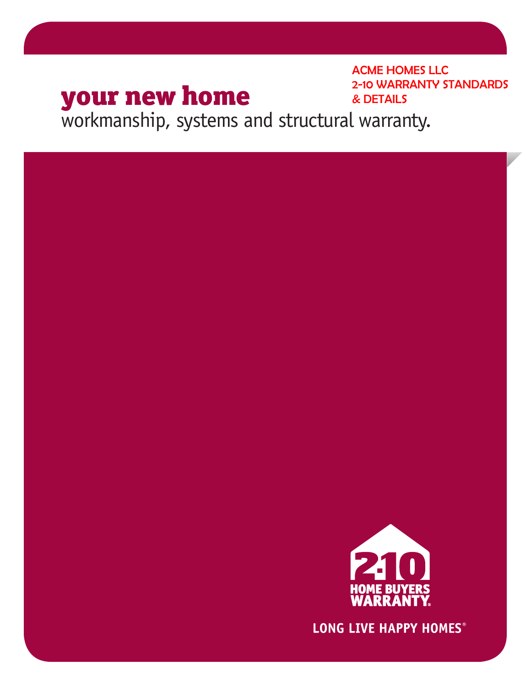## your new home

ACME HOMES LLC 2-10 WARRANTY STANDARDS & DETAILS

workmanship, systems and structural warranty.



**LONG LIVE HAPPY HOMES®**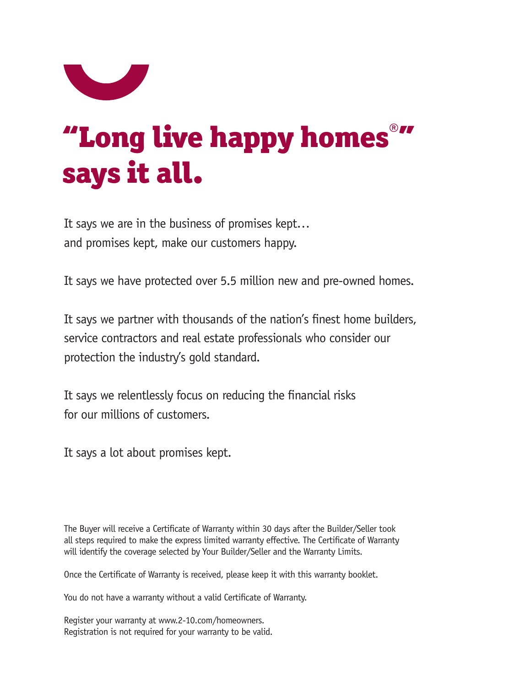

# "Long live happy homes®" says it all.

It says we are in the business of promises kept… and promises kept, make our customers happy.

It says we have protected over 5.5 million new and pre-owned homes.

It says we partner with thousands of the nation's finest home builders, service contractors and real estate professionals who consider our protection the industry's gold standard.

It says we relentlessly focus on reducing the financial risks for our millions of customers.

It says a lot about promises kept.

The Buyer will receive a Certificate of Warranty within 30 days after the Builder/Seller took all steps required to make the express limited warranty effective. The Certificate of Warranty will identify the coverage selected by Your Builder/Seller and the Warranty Limits.

Once the Certificate of Warranty is received, please keep it with this warranty booklet.

You do not have a warranty without a valid Certificate of Warranty.

Register your warranty at www.2-10.com/homeowners. Registration is not required for your warranty to be valid.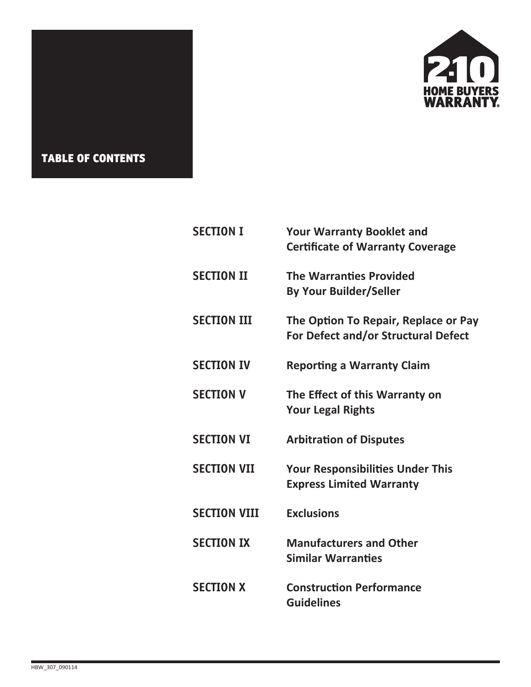

#### TABLE OF CONTENTS

| <b>SECTION I</b>    | <b>Your Warranty Booklet and</b><br><b>Certificate of Warranty Coverage</b> |
|---------------------|-----------------------------------------------------------------------------|
| <b>SECTION II</b>   | <b>The Warranties Provided</b><br><b>By Your Builder/Seller</b>             |
| <b>SECTION III</b>  | The Option To Repair, Replace or Pay<br>For Defect and/or Structural Defect |
| <b>SECTION IV</b>   | <b>Reporting a Warranty Claim</b>                                           |
| <b>SECTION V</b>    | The Effect of this Warranty on<br><b>Your Legal Rights</b>                  |
| <b>SECTION VI</b>   | <b>Arbitration of Disputes</b>                                              |
| <b>SECTION VII</b>  | <b>Your Responsibilities Under This</b><br><b>Express Limited Warranty</b>  |
| <b>SECTION VIII</b> | <b>Exclusions</b>                                                           |
| <b>SECTION IX</b>   | <b>Manufacturers and Other</b><br><b>Similar Warranties</b>                 |
| <b>SECTION X</b>    | <b>Construction Performance</b><br><b>Guidelines</b>                        |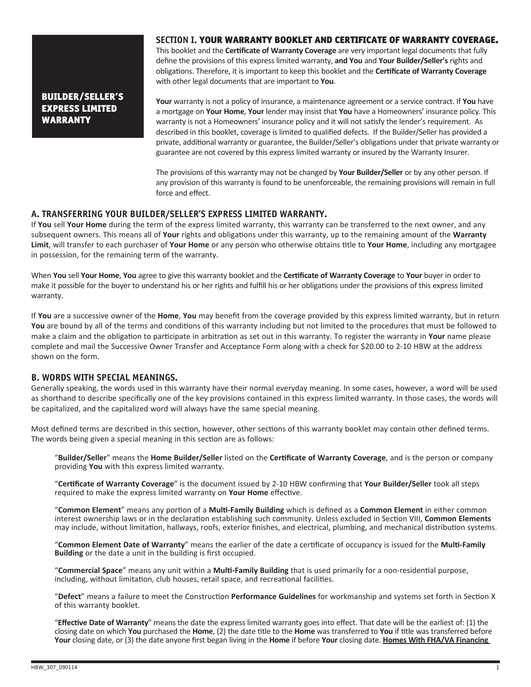**SECTION I.** Your WARRANTY BOOKLET AND Certificate of Warranty Coverage. This booklet and the **Certificate of Warranty Coverage** are very important legal documents that fully define the provisions of this express limited warranty, **and You** and **Your Builder/Seller's** rights and obligations. Therefore, it is important to keep this booklet and the **Certificate of Warranty Coverage** with other legal documents that are important to **You**.

BUILDER/SELLER'S EXPRESS LIMITED WARRANTY

**Your** warranty is not a policy of insurance, a maintenance agreement or a service contract. If **You** have a mortgage on **Your Home**, **Your** lender may insist that **You** have a Homeowners' insurance policy. This warranty is not a Homeowners' insurance policy and it will not satisfy the lender's requirement. As described in this booklet, coverage is limited to qualified defects. If the Builder/Seller has provided a private, additional warranty or guarantee, the Builder/Seller's obligations under that private warranty or guarantee are not covered by this express limited warranty or insured by the Warranty Insurer.

The provisions of this warranty may not be changed by **Your Builder/Seller** or by any other person. If any provision of this warranty is found to be unenforceable, the remaining provisions will remain in full force and effect.

#### **A. Transferring Your Builder/Seller's Express Limited Warranty.**

If **You** sell **Your Home** during the term of the express limited warranty, this warranty can be transferred to the next owner, and any subsequent owners. This means all of **Your** rights and obligations under this warranty, up to the remaining amount of the **Warranty Limit**, will transfer to each purchaser of **Your Home** or any person who otherwise obtains title to **Your Home**, including any mortgagee in possession, for the remaining term of the warranty.

When **You** sell **Your Home**, **You** agree to give this warranty booklet and the **Certificate of Warranty Coverage** to **Your** buyer in order to make it possible for the buyer to understand his or her rights and fulfill his or her obligations under the provisions of this express limited warranty.

If **You** are a successive owner of the **Home**, **You** may benefit from the coverage provided by this express limited warranty, but in return **You** are bound by all of the terms and conditions of this warranty including but not limited to the procedures that must be followed to make a claim and the obligation to participate in arbitration as set out in this warranty. To register the warranty in **Your** name please complete and mail the Successive Owner Transfer and Acceptance Form along with a check for \$20.00 to 2-10 HBW at the address shown on the form.

#### **B. Words With Special Meanings.**

Generally speaking, the words used in this warranty have their normal everyday meaning. In some cases, however, a word will be used as shorthand to describe specifically one of the key provisions contained in this express limited warranty. In those cases, the words will be capitalized, and the capitalized word will always have the same special meaning.

Most defined terms are described in this section, however, other sections of this warranty booklet may contain other defined terms. The words being given a special meaning in this section are as follows:

"**Builder/Seller**" means the **Home Builder/Seller** listed on the **Certificate of Warranty Coverage**, and is the person or company providing **You** with this express limited warranty.

"**Certificate of Warranty Coverage**" is the document issued by 2-10 HBW confirming that **Your Builder/Seller** took all steps required to make the express limited warranty on **Your Home** effective.

"**Common Element**" means any portion of a **Multi-Family Building** which is defined as a **Common Element** in either common interest ownership laws or in the declaration establishing such community. Unless excluded in Section VIII, **Common Elements** may include, without limitation, hallways, roofs, exterior finishes, and electrical, plumbing, and mechanical distribution systems.

"**Common Element Date of Warranty**" means the earlier of the date a certificate of occupancy is issued for the **Multi-Family Building** or the date a unit in the building is first occupied.

"**Commercial Space**" means any unit within a **Multi-Family Building** that is used primarily for a non-residential purpose, including, without limitation, club houses, retail space, and recreational facilities.

"**Defect**" means a failure to meet the Construction **Performance Guidelines** for workmanship and systems set forth in Section X of this warranty booklet.

"**Effective Date of Warranty**" means the date the express limited warranty goes into effect. That date will be the earliest of: (1) the closing date on which **You** purchased the **Home**, (2) the date title to the **Home** was transferred to **You** if title was transferred before **Your** closing date, or (3) the date anyone first began living in the **Home** if before **Your** closing date. **Homes With FHA/VA Financing**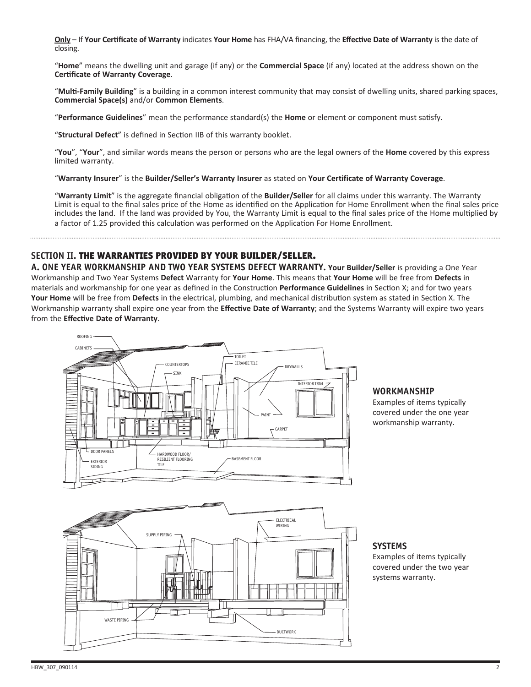**Only** – If **Your Certificate of Warranty** indicates **Your Home** has FHA/VA financing, the **Effective Date of Warranty** is the date of closing.

"**Home**" means the dwelling unit and garage (if any) or the **Commercial Space** (if any) located at the address shown on the **Certificate of Warranty Coverage**.

"**Multi-Family Building**" is a building in a common interest community that may consist of dwelling units, shared parking spaces, **Commercial Space(s)** and/or **Common Elements**.

"**Performance Guidelines**" mean the performance standard(s) the **Home** or element or component must satisfy.

"**Structural Defect**" is defined in Section IIB of this warranty booklet.

"**You**", "**Your**", and similar words means the person or persons who are the legal owners of the **Home** covered by this express limited warranty.

"**Warranty Insurer**" is the **Builder/Seller's Warranty Insurer** as stated on **Your Certificate of Warranty Coverage**.

"**Warranty Limit**" is the aggregate financial obligation of the **Builder/Seller** for all claims under this warranty. The Warranty Limit is equal to the final sales price of the Home as identified on the Application for Home Enrollment when the final sales price includes the land. If the land was provided by You, the Warranty Limit is equal to the final sales price of the Home multiplied by a factor of 1.25 provided this calculation was performed on the Application For Home Enrollment.

#### **SECTION II.** THE WARRANTIES PROVIDED BY Your Builder/Seller.

**A. One Year Workmanship and Two Year Systems Defect Warranty. Your Builder/Seller** is providing a One Year Workmanship and Two Year Systems **Defect** Warranty for **Your Home**. This means that **Your Home** will be free from **Defects** in materials and workmanship for one year as defined in the Construction **Performance Guidelines** in Section X; and for two years **Your Home** will be free from **Defects** in the electrical, plumbing, and mechanical distribution system as stated in Section X. The Workmanship warranty shall expire one year from the **Effective Date of Warranty**; and the Systems Warranty will expire two years from the **Effective Date of Warranty**.



#### **Workmanship**

Examples of items typically covered under the one year workmanship warranty.



#### **Systems**

Examples of items typically covered under the two year systems warranty.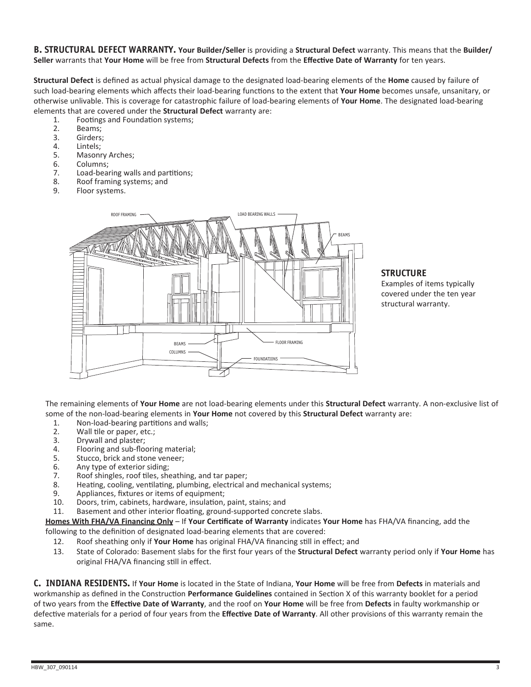**B. Structural Defect Warranty. Your Builder/Seller** is providing a **Structural Defect** warranty. This means that the **Builder/ Seller** warrants that **Your Home** will be free from **Structural Defects** from the **Effective Date of Warranty** for ten years.

**Structural Defect** is defined as actual physical damage to the designated load-bearing elements of the **Home** caused by failure of such load-bearing elements which affects their load-bearing functions to the extent that **Your Home** becomes unsafe, unsanitary, or otherwise unlivable. This is coverage for catastrophic failure of load-bearing elements of **Your Home**. The designated load-bearing elements that are covered under the **Structural Defect** warranty are:

- 1. Footings and Foundation systems;<br>2. Beams:
- 2. Beams;<br>3. Girders;
- Girders;
- 4. Lintels;
- 5. Masonry Arches;
- 6. Columns;
- 7. Load-bearing walls and partitions;
- 8. Roof framing systems; and<br>9. Floor systems.
- Floor systems.



#### **STRUCTURE**

Examples of items typically covered under the ten year structural warranty.

The remaining elements of **Your Home** are not load-bearing elements under this **Structural Defect** warranty. A non-exclusive list of some of the non-load-bearing elements in **Your Home** not covered by this **Structural Defect** warranty are:

- 1. Non-load-bearing partitions and walls;
- 2. Wall tile or paper, etc.;
- 3. Drywall and plaster;<br>4. Flooring and sub-floor
- 4. Flooring and sub-flooring material;
- 5. Stucco, brick and stone veneer;
- 6. Any type of exterior siding;<br>7. Roof shingles, roof tiles, she
- Roof shingles, roof tiles, sheathing, and tar paper;
- 8. Heating, cooling, ventilating, plumbing, electrical and mechanical systems;
- 9. Appliances, fixtures or items of equipment;
- 10. Doors, trim, cabinets, hardware, insulation, paint, stains; and
- 11. Basement and other interior floating, ground-supported concrete slabs.

**Homes With FHA/VA Financing Only** – If **Your Certificate of Warranty** indicates **Your Home** has FHA/VA financing, add the following to the definition of designated load-bearing elements that are covered:

- 12. Roof sheathing only if **Your Home** has original FHA/VA financing still in effect; and
- 13. State of Colorado: Basement slabs for the first four years of the **Structural Defect** warranty period only if **Your Home** has original FHA/VA financing still in effect.

**C. Indiana Residents.** If **Your Home** is located in the State of Indiana, **Your Home** will be free from **Defects** in materials and workmanship as defined in the Construction **Performance Guidelines** contained in Section X of this warranty booklet for a period of two years from the **Effective Date of Warranty**, and the roof on **Your Home** will be free from **Defects** in faulty workmanship or defective materials for a period of four years from the **Effective Date of Warranty**. All other provisions of this warranty remain the same.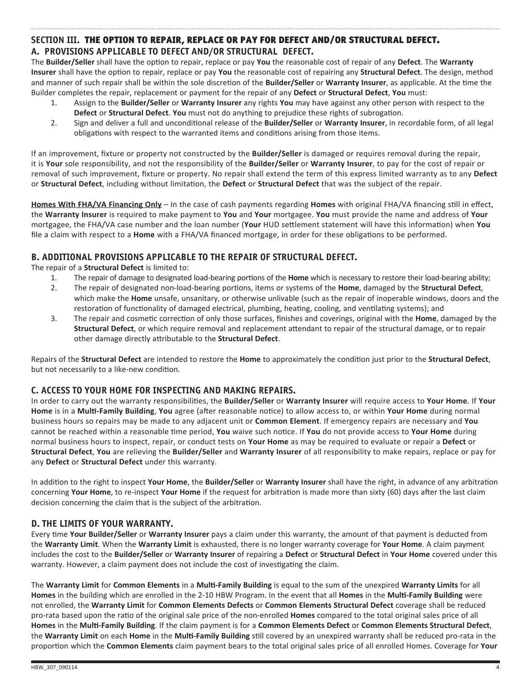#### **A. Provisions Applicable to Defect and/or Structural Defect.**

The **Builder/Seller** shall have the option to repair, replace or pay **You** the reasonable cost of repair of any **Defect**. The **Warranty Insurer** shall have the option to repair, replace or pay **You** the reasonable cost of repairing any **Structural Defect**. The design, method and manner of such repair shall be within the sole discretion of the **Builder/Seller** or **Warranty Insurer**, as applicable. At the time the Builder completes the repair, replacement or payment for the repair of any **Defect** or **Structural Defect**, **You** must:

- 1. Assign to the **Builder/Seller** or **Warranty Insurer** any rights **You** may have against any other person with respect to the **Defect** or **Structural Defect**. **You** must not do anything to prejudice these rights of subrogation.
- 2. Sign and deliver a full and unconditional release of the **Builder/Seller** or **Warranty Insurer**, in recordable form, of all legal obligations with respect to the warranted items and conditions arising from those items.

If an improvement, fixture or property not constructed by the **Builder/Seller** is damaged or requires removal during the repair, it is **Your** sole responsibility, and not the responsibility of the **Builder/Seller** or **Warranty Insurer**, to pay for the cost of repair or removal of such improvement, fixture or property. No repair shall extend the term of this express limited warranty as to any **Defect** or **Structural Defect**, including without limitation, the **Defect** or **Structural Defect** that was the subject of the repair.

**Homes With FHA/VA Financing Only** – In the case of cash payments regarding **Homes** with original FHA/VA financing still in effect, the **Warranty Insurer** is required to make payment to **You** and **Your** mortgagee. **You** must provide the name and address of **Your** mortgagee, the FHA/VA case number and the loan number (**Your** HUD settlement statement will have this information) when **You** file a claim with respect to a **Home** with a FHA/VA financed mortgage, in order for these obligations to be performed.

#### **B. Additional Provisions Applicable to the Repair of Structural Defect.**

The repair of a **Structural Defect** is limited to:

- 1. The repair of damage to designated load-bearing portions of the **Home** which is necessary to restore their load-bearing ability;
- 2. The repair of designated non-load-bearing portions, items or systems of the **Home**, damaged by the **Structural Defect**, which make the **Home** unsafe, unsanitary, or otherwise unlivable (such as the repair of inoperable windows, doors and the restoration of functionality of damaged electrical, plumbing, heating, cooling, and ventilating systems); and
- 3. The repair and cosmetic correction of only those surfaces, finishes and coverings, original with the **Home**, damaged by the **Structural Defect**, or which require removal and replacement attendant to repair of the structural damage, or to repair other damage directly attributable to the **Structural Defect**.

Repairs of the **Structural Defect** are intended to restore the **Home** to approximately the condition just prior to the **Structural Defect**, but not necessarily to a like-new condition.

#### **C. Access to Your Home for Inspecting and Making Repairs.**

In order to carry out the warranty responsibilities, the **Builder/Seller** or **Warranty Insurer** will require access to **Your Home**. If **Your Home** is in a **Multi-Family Building**, **You** agree (after reasonable notice) to allow access to, or within **Your Home** during normal business hours so repairs may be made to any adjacent unit or **Common Element**. If emergency repairs are necessary and **You** cannot be reached within a reasonable time period, **You** waive such notice. If **You** do not provide access to **Your Home** during normal business hours to inspect, repair, or conduct tests on **Your Home** as may be required to evaluate or repair a **Defect** or **Structural Defect**, **You** are relieving the **Builder/Seller** and **Warranty Insurer** of all responsibility to make repairs, replace or pay for any **Defect** or **Structural Defect** under this warranty.

In addition to the right to inspect **Your Home**, the **Builder/Seller** or **Warranty Insurer** shall have the right, in advance of any arbitration concerning **Your Home**, to re-inspect **Your Home** if the request for arbitration is made more than sixty (60) days after the last claim decision concerning the claim that is the subject of the arbitration.

#### **D. The Limits of Your Warranty.**

Every time **Your Builder/Seller** or **Warranty Insurer** pays a claim under this warranty, the amount of that payment is deducted from the **Warranty Limit**. When the **Warranty Limit** is exhausted, there is no longer warranty coverage for **Your Home**. A claim payment includes the cost to the **Builder/Seller** or **Warranty Insurer** of repairing a **Defect** or **Structural Defect** in **Your Home** covered under this warranty. However, a claim payment does not include the cost of investigating the claim.

The **Warranty Limit** for **Common Elements** in a **Multi-Family Building** is equal to the sum of the unexpired **Warranty Limits** for all **Homes** in the building which are enrolled in the 2-10 HBW Program. In the event that all **Homes** in the **Multi-Family Building** were not enrolled, the **Warranty Limit** for **Common Elements Defects** or **Common Elements Structural Defect** coverage shall be reduced pro-rata based upon the ratio of the original sale price of the non-enrolled **Homes** compared to the total original sales price of all **Homes** in the **Multi-Family Building**. If the claim payment is for a **Common Elements Defect** or **Common Elements Structural Defect**, the **Warranty Limit** on each **Home** in the **Multi-Family Building** still covered by an unexpired warranty shall be reduced pro-rata in the proportion which the **Common Elements** claim payment bears to the total original sales price of all enrolled Homes. Coverage for **Your**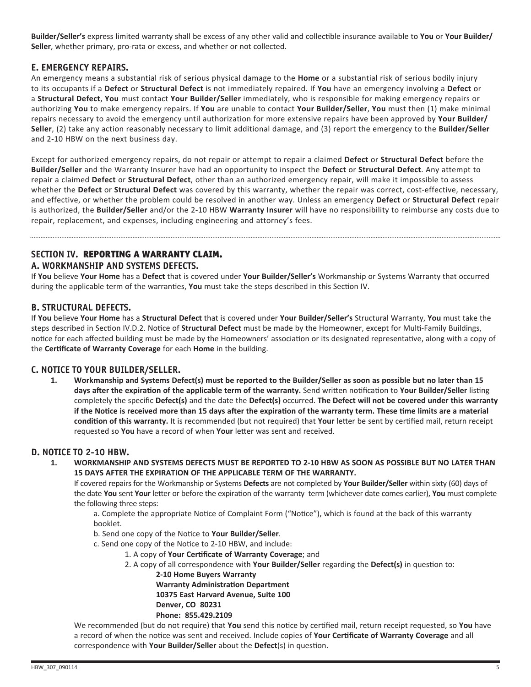**Builder/Seller's** express limited warranty shall be excess of any other valid and collectible insurance available to **You** or **Your Builder/ Seller**, whether primary, pro-rata or excess, and whether or not collected.

#### **E. Emergency Repairs.**

An emergency means a substantial risk of serious physical damage to the **Home** or a substantial risk of serious bodily injury to its occupants if a **Defect** or **Structural Defect** is not immediately repaired. If **You** have an emergency involving a **Defect** or a **Structural Defect**, **You** must contact **Your Builder/Seller** immediately, who is responsible for making emergency repairs or authorizing **You** to make emergency repairs. If **You** are unable to contact **Your Builder/Seller**, **You** must then (1) make minimal repairs necessary to avoid the emergency until authorization for more extensive repairs have been approved by **Your Builder/ Seller**, (2) take any action reasonably necessary to limit additional damage, and (3) report the emergency to the **Builder/Seller** and 2-10 HBW on the next business day.

Except for authorized emergency repairs, do not repair or attempt to repair a claimed **Defect** or **Structural Defect** before the **Builder/Seller** and the Warranty Insurer have had an opportunity to inspect the **Defect** or **Structural Defect**. Any attempt to repair a claimed **Defect** or **Structural Defect**, other than an authorized emergency repair, will make it impossible to assess whether the **Defect** or **Structural Defect** was covered by this warranty, whether the repair was correct, cost-effective, necessary, and effective, or whether the problem could be resolved in another way. Unless an emergency **Defect** or **Structural Defect** repair is authorized, the **Builder/Seller** and/or the 2-10 HBW **Warranty Insurer** will have no responsibility to reimburse any costs due to repair, replacement, and expenses, including engineering and attorney's fees.

#### **SECTION IV.** REPORTING A WARRANTY CLAIM.

#### **A. Workmanship and systems defects.**

If **You** believe **Your Home** has a **Defect** that is covered under **Your Builder/Seller's** Workmanship or Systems Warranty that occurred during the applicable term of the warranties, **You** must take the steps described in this Section IV.

#### **b. structural defects.**

If **You** believe **Your Home** has a **Structural Defect** that is covered under **Your Builder/Seller's** Structural Warranty, **You** must take the steps described in Section IV.D.2. Notice of **Structural Defect** must be made by the Homeowner, except for Multi-Family Buildings, notice for each affected building must be made by the Homeowners' association or its designated representative, along with a copy of the **Certificate of Warranty Coverage** for each **Home** in the building.

#### **C. Notice to Your Builder/Seller.**

1. Workmanship and Systems Defect(s) must be reported to the Builder/Seller as soon as possible but no later than 15 **days after the expiration of the applicable term of the warranty.** Send written notification to **Your Builder/Seller** listing completely the specific **Defect(s)** and the date the **Defect(s)** occurred. **The Defect will not be covered under this warranty** if the Notice is received more than 15 days after the expiration of the warranty term. These time limits are a material **condition of this warranty.** It is recommended (but not required) that **Your** letter be sent by certified mail, return receipt requested so **You** have a record of when **Your** letter was sent and received.

#### **d. Notice to 2-10 HBW.**

**1. WORKMANSHIP AND SYSTEMS DEFECTS MUST BE REPORTED TO 2-10 HBW AS SOON AS POSSIBLE BUT NO LATER THAN 15 DAYS AFTER THE EXPIRATION OF THE APPLICABLE TERM OF THE WARRANTY.**

If covered repairs for the Workmanship or Systems **Defects** are not completed by **Your Builder/Seller** within sixty (60) days of the date **You** sent **Your** letter or before the expiration of the warranty term (whichever date comes earlier), **You** must complete the following three steps:

a. Complete the appropriate Notice of Complaint Form ("Notice"), which is found at the back of this warranty booklet.

- b. Send one copy of the Notice to **Your Builder/Seller**.
- c. Send one copy of the Notice to 2-10 HBW, and include:
	- 1. A copy of **Your Certificate of Warranty Coverage**; and
	- 2. A copy of all correspondence with **Your Builder/Seller** regarding the **Defect(s)** in question to:

 **2-10 Home Buyers Warranty**

 **Warranty Administration Department**

 **10375 East Harvard Avenue, Suite 100**

- **Denver, CO 80231**
- **Phone: 855.429.2109**

We recommended (but do not require) that **You** send this notice by certified mail, return receipt requested, so **You** have a record of when the notice was sent and received. Include copies of **Your Certificate of Warranty Coverage** and all correspondence with **Your Builder/Seller** about the **Defect**(s) in question.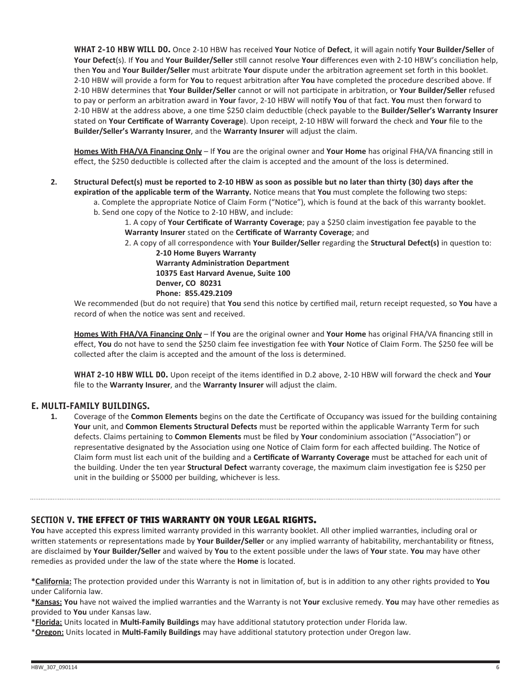**What 2-10 HBW will do.** Once 2-10 HBW has received **Your** Notice of **Defect**, it will again notify **Your Builder/Seller** of **Your Defect**(s). If **You** and **Your Builder/Seller** still cannot resolve **Your** differences even with 2-10 HBW's conciliation help, then **You** and **Your Builder/Seller** must arbitrate **Your** dispute under the arbitration agreement set forth in this booklet. 2-10 HBW will provide a form for **You** to request arbitration after **You** have completed the procedure described above. If 2-10 HBW determines that **Your Builder/Seller** cannot or will not participate in arbitration, or **Your Builder/Seller** refused to pay or perform an arbitration award in **Your** favor, 2-10 HBW will notify **You** of that fact. **You** must then forward to 2-10 HBW at the address above, a one time \$250 claim deductible (check payable to the **Builder/Seller's Warranty Insurer** stated on **Your Certificate of Warranty Coverage**). Upon receipt, 2-10 HBW will forward the check and **Your** file to the **Builder/Seller's Warranty Insurer**, and the **Warranty Insurer** will adjust the claim.

**Homes With FHA/VA Financing Only** – If **You** are the original owner and **Your Home** has original FHA/VA financing still in effect, the \$250 deductible is collected after the claim is accepted and the amount of the loss is determined.

- 2. Structural Defect(s) must be reported to 2-10 HBW as soon as possible but no later than thirty (30) days after the **expiration of the applicable term of the Warranty.** Notice means that **You** must complete the following two steps:
	- a. Complete the appropriate Notice of Claim Form ("Notice"), which is found at the back of this warranty booklet. b. Send one copy of the Notice to 2-10 HBW, and include:

1. A copy of **Your Certificate of Warranty Coverage**; pay a \$250 claim investigation fee payable to the **Warranty Insurer** stated on the **Certificate of Warranty Coverage**; and

2. A copy of all correspondence with **Your Builder/Seller** regarding the **Structural Defect(s)** in question to:  **2-10 Home Buyers Warranty**

 **Warranty Administration Department 10375 East Harvard Avenue, Suite 100 Denver, CO 80231 Phone: 855.429.2109**

We recommended (but do not require) that **You** send this notice by certified mail, return receipt requested, so **You** have a record of when the notice was sent and received.

**Homes With FHA/VA Financing Only** – If **You** are the original owner and **Your Home** has original FHA/VA financing still in effect, **You** do not have to send the \$250 claim fee investigation fee with **Your** Notice of Claim Form. The \$250 fee will be collected after the claim is accepted and the amount of the loss is determined.

**What 2-10 HBW will do.** Upon receipt of the items identified in D.2 above, 2-10 HBW will forward the check and **Your** file to the **Warranty Insurer**, and the **Warranty Insurer** will adjust the claim.

#### **E. multi-family buildings.**

**1.** Coverage of the **Common Elements** begins on the date the Certificate of Occupancy was issued for the building containing **Your** unit, and **Common Elements Structural Defects** must be reported within the applicable Warranty Term for such defects. Claims pertaining to **Common Elements** must be filed by **Your** condominium association ("Association") or representative designated by the Association using one Notice of Claim form for each affected building. The Notice of Claim form must list each unit of the building and a **Certificate of Warranty Coverage** must be attached for each unit of the building. Under the ten year **Structural Defect** warranty coverage, the maximum claim investigation fee is \$250 per unit in the building or \$5000 per building, whichever is less.

#### **SECTION V. THE EFFECT OF THIS WARRANTY ON YOUR LEGAL RIGHTS.**

**You** have accepted this express limited warranty provided in this warranty booklet. All other implied warranties, including oral or written statements or representations made by **Your Builder/Seller** or any implied warranty of habitability, merchantability or fitness, are disclaimed by **Your Builder/Seller** and waived by **You** to the extent possible under the laws of **Your** state. **You** may have other remedies as provided under the law of the state where the **Home** is located.

**\*California:** The protection provided under this Warranty is not in limitation of, but is in addition to any other rights provided to **You** under California law.

**\*Kansas: You** have not waived the implied warranties and the Warranty is not **Your** exclusive remedy. **You** may have other remedies as provided to **You** under Kansas law.

\***Florida:** Units located in **Multi-Family Buildings** may have additional statutory protection under Florida law.

\***Oregon:** Units located in **Multi-Family Buildings** may have additional statutory protection under Oregon law.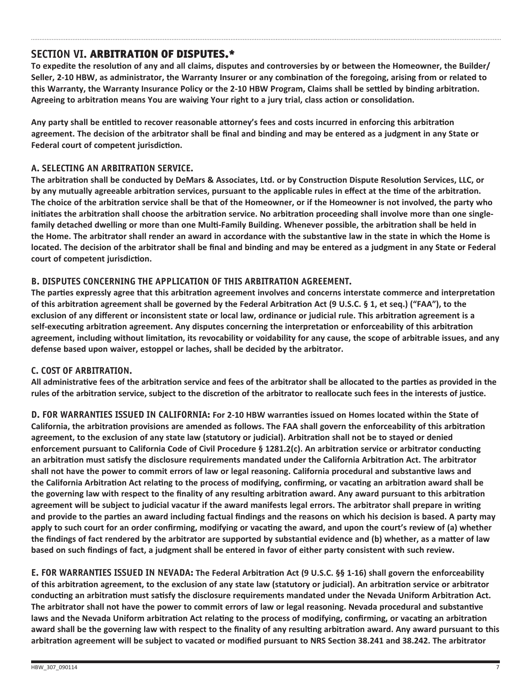#### **SECTION VI.** ARBITRATION OF DISPUTES.\*

To expedite the resolution of any and all claims, disputes and controversies by or between the Homeowner, the Builder/ Seller, 2-10 HBW, as administrator, the Warranty Insurer or any combination of the foregoing, arising from or related to this Warranty, the Warranty Insurance Policy or the 2-10 HBW Program, Claims shall be settled by binding arbitration. **Agreeing to arbitration means You are waiving Your right to a jury trial, class action or consolidation.**

Any party shall be entitled to recover reasonable attorney's fees and costs incurred in enforcing this arbitration agreement. The decision of the arbitrator shall be final and binding and may be entered as a judgment in any State or **Federal court of competent jurisdiction.**

#### **A. Selecting an Arbitration Service.**

The arbitration shall be conducted by DeMars & Associates, Ltd. or by Construction Dispute Resolution Services, LLC, or by any mutually agreeable arbitration services, pursuant to the applicable rules in effect at the time of the arbitration. The choice of the arbitration service shall be that of the Homeowner, or if the Homeowner is not involved, the party who initiates the arbitration shall choose the arbitration service. No arbitration proceeding shall involve more than one singlefamily detached dwelling or more than one Multi-Family Building. Whenever possible, the arbitration shall be held in the Home. The arbitrator shall render an award in accordance with the substantive law in the state in which the Home is located. The decision of the arbitrator shall be final and binding and may be entered as a judgment in any State or Federal **court of competent jurisdiction.**

#### **B. Disputes Concerning the Application of this Arbitration Agreement.**

The parties expressly agree that this arbitration agreement involves and concerns interstate commerce and interpretation of this arbitration agreement shall be governed by the Federal Arbitration Act (9 U.S.C. § 1, et seq.) ("FAA"), to the exclusion of any different or inconsistent state or local law, ordinance or judicial rule. This arbitration agreement is a **self-executing arbitration agreement. Any disputes concerning the interpretation or enforceability of this arbitration** agreement, including without limitation, its revocability or voidability for any cause, the scope of arbitrable issues, and any **defense based upon waiver, estoppel or laches, shall be decided by the arbitrator.**

#### **C. Cost of Arbitration.**

All administrative fees of the arbitration service and fees of the arbitrator shall be allocated to the parties as provided in the rules of the arbitration service, subject to the discretion of the arbitrator to reallocate such fees in the interests of justice.

**D. For Warranties Issued In California: For 2-10 HBW warranties issued on Homes located within the State of** California, the arbitration provisions are amended as follows. The FAA shall govern the enforceability of this arbitration agreement, to the exclusion of any state law (statutory or judicial). Arbitration shall not be to stayed or denied enforcement pursuant to California Code of Civil Procedure § 1281.2(c). An arbitration service or arbitrator conducting **an arbitration must satisfy the disclosure requirements mandated under the California Arbitration Act. The arbitrator** shall not have the power to commit errors of law or legal reasoning. California procedural and substantive laws and the California Arbitration Act relating to the process of modifying, confirming, or vacating an arbitration award shall be the governing law with respect to the finality of any resulting arbitration award. Any award pursuant to this arbitration agreement will be subject to judicial vacatur if the award manifests legal errors. The arbitrator shall prepare in writing and provide to the parties an award including factual findings and the reasons on which his decision is based. A party may apply to such court for an order confirming, modifying or vacating the award, and upon the court's review of (a) whether the findings of fact rendered by the arbitrator are supported by substantial evidence and (b) whether, as a matter of law based on such findings of fact, a judgment shall be entered in favor of either party consistent with such review.

**E. For Warranties Issued In NEVADA: The Federal Arbitration Act (9 U.S.C. §§ 1-16) shall govern the enforceability** of this arbitration agreement, to the exclusion of any state law (statutory or judicial). An arbitration service or arbitrator **conducting an arbitration must satisfy the disclosure requirements mandated under the Nevada Uniform Arbitration Act.**  The arbitrator shall not have the power to commit errors of law or legal reasoning. Nevada procedural and substantive laws and the Nevada Uniform arbitration Act relating to the process of modifying, confirming, or vacating an arbitration award shall be the governing law with respect to the finality of any resulting arbitration award. Any award pursuant to this arbitration agreement will be subject to vacated or modified pursuant to NRS Section 38.241 and 38.242. The arbitrator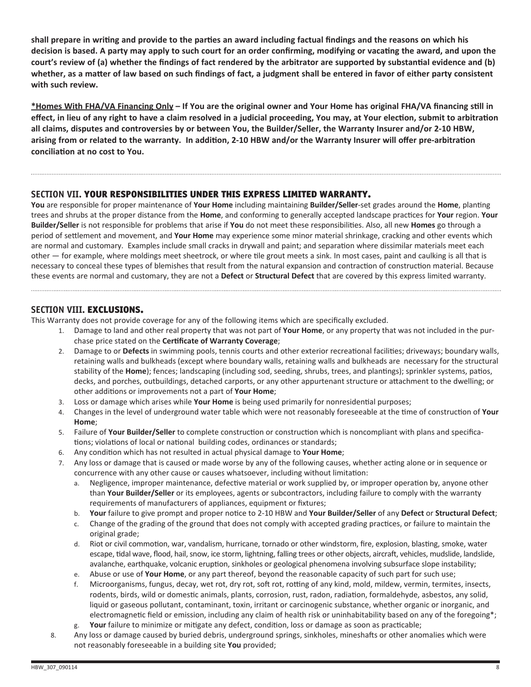shall prepare in writing and provide to the parties an award including factual findings and the reasons on which his decision is based. A party may apply to such court for an order confirming, modifying or vacating the award, and upon the court's review of (a) whether the findings of fact rendered by the arbitrator are supported by substantial evidence and (b) whether, as a matter of law based on such findings of fact, a judgment shall be entered in favor of either party consistent **with such review.**

\*Homes With FHA/VA Financing Only – If You are the original owner and Your Home has original FHA/VA financing still in effect, in lieu of any right to have a claim resolved in a judicial proceeding, You may, at Your election, submit to arbitration **all claims, disputes and controversies by or between You, the Builder/Seller, the Warranty Insurer and/or 2-10 HBW, arising from or related to the warranty. In addition, 2-10 HBW and/or the Warranty Insurer will offer pre-arbitration conciliation at no cost to You.**

#### **SECTION VII.** YOUR RESPONSIBILITIES UNDER THIS EXPRESS LIMITED WARRANTY.

**You** are responsible for proper maintenance of **Your Home** including maintaining **Builder/Seller**-set grades around the **Home**, planting trees and shrubs at the proper distance from the **Home**, and conforming to generally accepted landscape practices for **Your** region. **Your Builder/Seller** is not responsible for problems that arise if **You** do not meet these responsibilities. Also, all new **Homes** go through a period of settlement and movement, and **Your Home** may experience some minor material shrinkage, cracking and other events which are normal and customary. Examples include small cracks in drywall and paint; and separation where dissimilar materials meet each other — for example, where moldings meet sheetrock, or where tile grout meets a sink. In most cases, paint and caulking is all that is necessary to conceal these types of blemishes that result from the natural expansion and contraction of construction material. Because these events are normal and customary, they are not a **Defect** or **Structural Defect** that are covered by this express limited warranty.

#### **SECTION VIII. EXCLUSIONS.**

This Warranty does not provide coverage for any of the following items which are specifically excluded.

- 1. Damage to land and other real property that was not part of **Your Home**, or any property that was not included in the purchase price stated on the **Certificate of Warranty Coverage**;
- 2. Damage to or **Defects** in swimming pools, tennis courts and other exterior recreational facilities; driveways; boundary walls, retaining walls and bulkheads (except where boundary walls, retaining walls and bulkheads are necessary for the structural stability of the **Home**); fences; landscaping (including sod, seeding, shrubs, trees, and plantings); sprinkler systems, patios, decks, and porches, outbuildings, detached carports, or any other appurtenant structure or attachment to the dwelling; or other additions or improvements not a part of **Your Home**;
- 3. Loss or damage which arises while **Your Home** is being used primarily for nonresidential purposes;
- 4. Changes in the level of underground water table which were not reasonably foreseeable at the time of construction of **Your Home**;
- 5. Failure of **Your Builder/Seller** to complete construction or construction which is noncompliant with plans and specifications; violations of local or national building codes, ordinances or standards;
- 6. Any condition which has not resulted in actual physical damage to **Your Home**;
- 7. Any loss or damage that is caused or made worse by any of the following causes, whether acting alone or in sequence or concurrence with any other cause or causes whatsoever, including without limitation:
	- a. Negligence, improper maintenance, defective material or work supplied by, or improper operation by, anyone other than **Your Builder/Seller** or its employees, agents or subcontractors, including failure to comply with the warranty requirements of manufacturers of appliances, equipment or fixtures;
	- b. **Your** failure to give prompt and proper notice to 2-10 HBW and **Your Builder/Seller** of any **Defect** or **Structural Defect**;
	- c. Change of the grading of the ground that does not comply with accepted grading practices, or failure to maintain the original grade;
	- d. Riot or civil commotion, war, vandalism, hurricane, tornado or other windstorm, fire, explosion, blasting, smoke, water escape, tidal wave, flood, hail, snow, ice storm, lightning, falling trees or other objects, aircraft, vehicles, mudslide, landslide, avalanche, earthquake, volcanic eruption, sinkholes or geological phenomena involving subsurface slope instability;
	- e. Abuse or use of **Your Home**, or any part thereof, beyond the reasonable capacity of such part for such use;
	- f. Microorganisms, fungus, decay, wet rot, dry rot, soft rot, rotting of any kind, mold, mildew, vermin, termites, insects, rodents, birds, wild or domestic animals, plants, corrosion, rust, radon, radiation, formaldehyde, asbestos, any solid, liquid or gaseous pollutant, contaminant, toxin, irritant or carcinogenic substance, whether organic or inorganic, and electromagnetic field or emission, including any claim of health risk or uninhabitability based on any of the foregoing\*;
	- g. **Your** failure to minimize or mitigate any defect, condition, loss or damage as soon as practicable;
- 8. Any loss or damage caused by buried debris, underground springs, sinkholes, mineshafts or other anomalies which were not reasonably foreseeable in a building site **You** provided;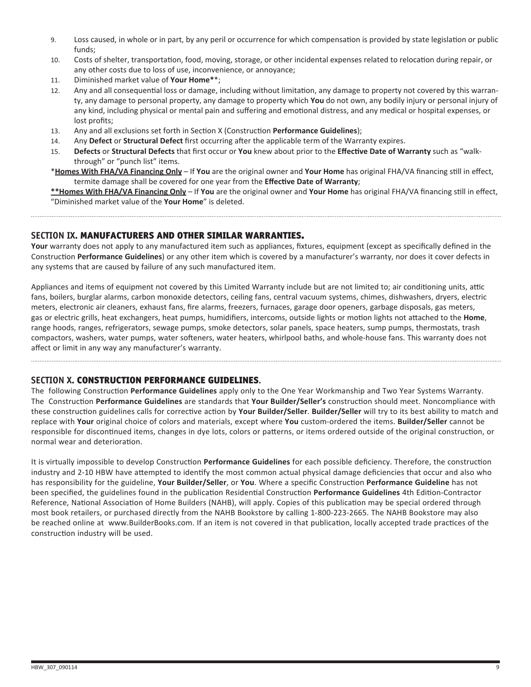- 9. Loss caused, in whole or in part, by any peril or occurrence for which compensation is provided by state legislation or public funds;
- 10. Costs of shelter, transportation, food, moving, storage, or other incidental expenses related to relocation during repair, or any other costs due to loss of use, inconvenience, or annoyance;
- 11. Diminished market value of **Your Home\***\*;
- 12. Any and all consequential loss or damage, including without limitation, any damage to property not covered by this warranty, any damage to personal property, any damage to property which **You** do not own, any bodily injury or personal injury of any kind, including physical or mental pain and suffering and emotional distress, and any medical or hospital expenses, or lost profits;
- 13. Any and all exclusions set forth in Section X (Construction **Performance Guidelines**);
- 14. Any **Defect** or **Structural Defect** first occurring after the applicable term of the Warranty expires.
- 15. **Defects** or **Structural Defects** that first occur or **You** knew about prior to the **Effective Date of Warranty** such as "walkthrough" or "punch list" items.
- \***Homes With FHA/VA Financing Only** If **You** are the original owner and **Your Home** has original FHA/VA financing still in effect, termite damage shall be covered for one year from the **Effective Date of Warranty**;

**\*\*Homes With FHA/VA Financing Only** – If **You** are the original owner and **Your Home** has original FHA/VA financing still in effect, "Diminished market value of the **Your Home**" is deleted.

#### **SECTION IX.** MANUFACTURERS AND OTHER SIMILAR WARRANTIES.

**Your** warranty does not apply to any manufactured item such as appliances, fixtures, equipment (except as specifically defined in the Construction **Performance Guidelines**) or any other item which is covered by a manufacturer's warranty, nor does it cover defects in any systems that are caused by failure of any such manufactured item.

Appliances and items of equipment not covered by this Limited Warranty include but are not limited to; air conditioning units, attic fans, boilers, burglar alarms, carbon monoxide detectors, ceiling fans, central vacuum systems, chimes, dishwashers, dryers, electric meters, electronic air cleaners, exhaust fans, fire alarms, freezers, furnaces, garage door openers, garbage disposals, gas meters, gas or electric grills, heat exchangers, heat pumps, humidifiers, intercoms, outside lights or motion lights not attached to the **Home**, range hoods, ranges, refrigerators, sewage pumps, smoke detectors, solar panels, space heaters, sump pumps, thermostats, trash compactors, washers, water pumps, water softeners, water heaters, whirlpool baths, and whole-house fans. This warranty does not affect or limit in any way any manufacturer's warranty.

#### **SECTION X.** CONSTRUCTION PERFORMANCE GUIDELINES**.**

The following Construction **Performance Guidelines** apply only to the One Year Workmanship and Two Year Systems Warranty. The Construction **Performance Guidelines** are standards that **Your Builder/Seller's** construction should meet. Noncompliance with these construction guidelines calls for corrective action by **Your Builder/Seller**. **Builder/Seller** will try to its best ability to match and replace with **Your** original choice of colors and materials, except where **You** custom-ordered the items. **Builder/Seller** cannot be responsible for discontinued items, changes in dye lots, colors or patterns, or items ordered outside of the original construction, or normal wear and deterioration.

It is virtually impossible to develop Construction **Performance Guidelines** for each possible deficiency. Therefore, the construction industry and 2-10 HBW have attempted to identify the most common actual physical damage deficiencies that occur and also who has responsibility for the guideline, **Your Builder/Seller**, or **You**. Where a specific Construction **Performance Guideline** has not been specified, the guidelines found in the publication Residential Construction **Performance Guidelines** 4th Edition-Contractor Reference, National Association of Home Builders (NAHB), will apply. Copies of this publication may be special ordered through most book retailers, or purchased directly from the NAHB Bookstore by calling 1-800-223-2665. The NAHB Bookstore may also be reached online at www.BuilderBooks.com. If an item is not covered in that publication, locally accepted trade practices of the construction industry will be used.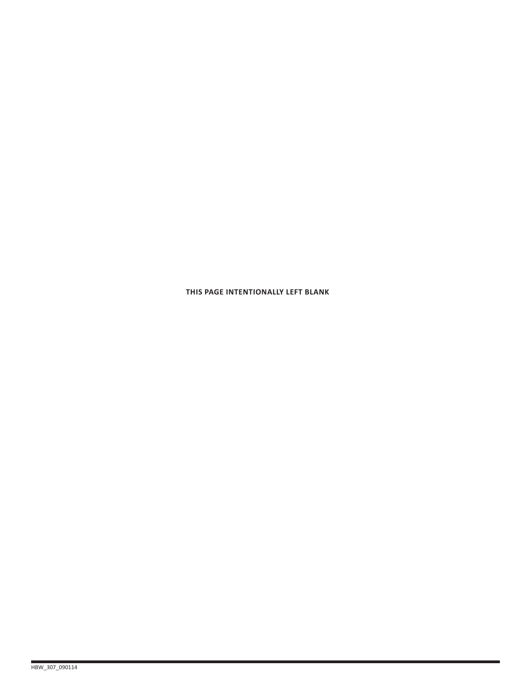#### **This page intentionally left blank**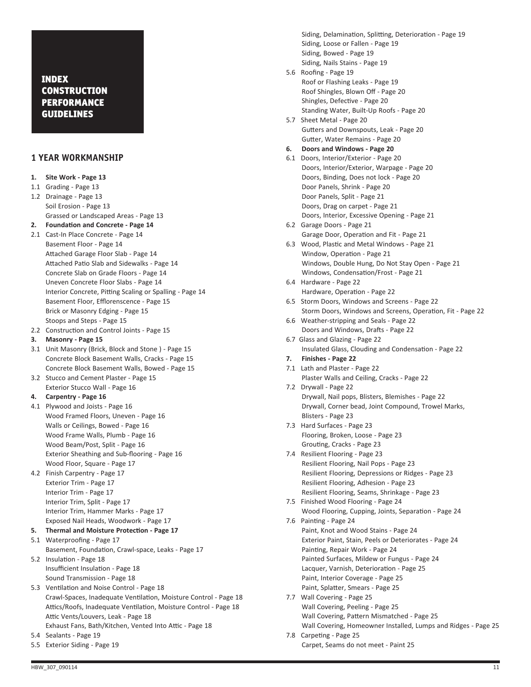#### INDEX **CONSTRUCTION** PERFORMANCE GUIDELINES

#### **1 YEAR WORKMANSHIP**

- **1. Site Work - Page 13** 1.1 Grading - Page 13 1.2 Drainage - Page 13 Soil Erosion - Page 13 Grassed or Landscaped Areas - Page 13 **2. Foundation and Concrete - Page 14** 2.1 Cast-In Place Concrete - Page 14 Basement Floor - Page 14 Attached Garage Floor Slab - Page 14 Attached Patio Slab and Sidewalks - Page 14 Concrete Slab on Grade Floors - Page 14 Uneven Concrete Floor Slabs - Page 14 Interior Concrete, Pitting Scaling or Spalling - Page 14 Basement Floor, Efflorenscence - Page 15 Brick or Masonry Edging - Page 15 Stoops and Steps - Page 15 2.2 Construction and Control Joints - Page 15 **3. Masonry - Page 15** 3.1 Unit Masonry (Brick, Block and Stone ) - Page 15 Concrete Block Basement Walls, Cracks - Page 15 Concrete Block Basement Walls, Bowed - Page 15 3.2 Stucco and Cement Plaster - Page 15 Exterior Stucco Wall - Page 16 **4. Carpentry - Page 16** 4.1 Plywood and Joists - Page 16 Wood Framed Floors, Uneven - Page 16 Walls or Ceilings, Bowed - Page 16 Wood Frame Walls, Plumb - Page 16 Wood Beam/Post, Split - Page 16 Exterior Sheathing and Sub-flooring - Page 16 Wood Floor, Square - Page 17 4.2 Finish Carpentry - Page 17 Exterior Trim - Page 17 Interior Trim - Page 17 Interior Trim, Split - Page 17 Interior Trim, Hammer Marks - Page 17 Exposed Nail Heads, Woodwork - Page 17 **5. Thermal and Moisture Protection - Page 17** 5.1 Waterproofing - Page 17 Basement, Foundation, Crawl-space, Leaks - Page 17 5.2 Insulation - Page 18 Insufficient Insulation - Page 18
- Sound Transmission Page 18 5.3 Ventilation and Noise Control - Page 18 Crawl-Spaces, Inadequate Ventilation, Moisture Control - Page 18 Attics/Roofs, Inadequate Ventilation, Moisture Control - Page 18 Attic Vents/Louvers, Leak - Page 18
- Exhaust Fans, Bath/Kitchen, Vented Into Attic Page 18
- 5.4 Sealants Page 19
- 5.5 Exterior Siding Page 19

 Siding, Delamination, Splitting, Deterioration - Page 19 Siding, Loose or Fallen - Page 19 Siding, Bowed - Page 19 Siding, Nails Stains - Page 19

- 5.6 Roofing Page 19 Roof or Flashing Leaks - Page 19 Roof Shingles, Blown Off - Page 20 Shingles, Defective - Page 20 Standing Water, Built-Up Roofs - Page 20
- 5.7 Sheet Metal Page 20 Gutters and Downspouts, Leak - Page 20 Gutter, Water Remains - Page 20
- **6. Doors and Windows - Page 20**
- 6.1 Doors, Interior/Exterior Page 20 Doors, Interior/Exterior, Warpage - Page 20 Doors, Binding, Does not lock - Page 20 Door Panels, Shrink - Page 20 Door Panels, Split - Page 21 Doors, Drag on carpet - Page 21 Doors, Interior, Excessive Opening - Page 21
- 6.2 Garage Doors Page 21 Garage Door, Operation and Fit - Page 21
- 6.3 Wood, Plastic and Metal Windows Page 21 Window, Operation - Page 21 Windows, Double Hung, Do Not Stay Open - Page 21 Windows, Condensation/Frost - Page 21
- 6.4 Hardware Page 22 Hardware, Operation - Page 22
- 6.5 Storm Doors, Windows and Screens Page 22 Storm Doors, Windows and Screens, Operation, Fit - Page 22
- 6.6 Weather-stripping and Seals Page 22 Doors and Windows, Drafts - Page 22
- 6.7 Glass and Glazing Page 22 Insulated Glass, Clouding and Condensation - Page 22
- **7. Finishes - Page 22** 7.1 Lath and Plaster - Page 22 Plaster Walls and Ceiling, Cracks - Page 22
- 7.2 Drywall Page 22 Drywall, Nail pops, Blisters, Blemishes - Page 22 Drywall, Corner bead, Joint Compound, Trowel Marks, Blisters - Page 23
- 7.3 Hard Surfaces Page 23 Flooring, Broken, Loose - Page 23 Grouting, Cracks - Page 23
- 7.4 Resilient Flooring Page 23 Resilient Flooring, Nail Pops - Page 23 Resilient Flooring, Depressions or Ridges - Page 23 Resilient Flooring, Adhesion - Page 23 Resilient Flooring, Seams, Shrinkage - Page 23
- 7.5 Finished Wood Flooring Page 24 Wood Flooring, Cupping, Joints, Separation - Page 24 7.6 Painting - Page 24
- Paint, Knot and Wood Stains Page 24 Exterior Paint, Stain, Peels or Deteriorates - Page 24 Painting, Repair Work - Page 24 Painted Surfaces, Mildew or Fungus - Page 24 Lacquer, Varnish, Deterioration - Page 25 Paint, Interior Coverage - Page 25 Paint, Splatter, Smears - Page 25
- 7.7 Wall Covering Page 25 Wall Covering, Peeling - Page 25 Wall Covering, Pattern Mismatched - Page 25 Wall Covering, Homeowner Installed, Lumps and Ridges - Page 25 7.8 Carpeting - Page 25
	- Carpet, Seams do not meet Paint 25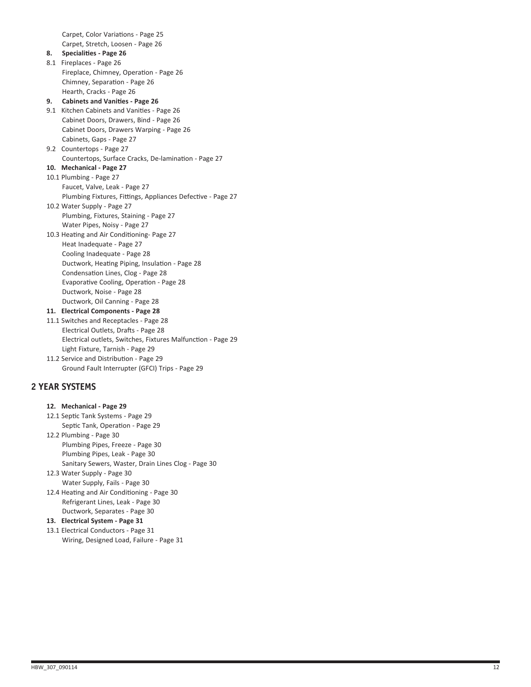Carpet, Color Variations - Page 25 Carpet, Stretch, Loosen - Page 26 **8. Specialities - Page 26** 8.1 Fireplaces - Page 26 Fireplace, Chimney, Operation - Page 26 Chimney, Separation - Page 26 Hearth, Cracks - Page 26 **9. Cabinets and Vanities - Page 26** 9.1 Kitchen Cabinets and Vanities - Page 26 Cabinet Doors, Drawers, Bind - Page 26 Cabinet Doors, Drawers Warping - Page 26 Cabinets, Gaps - Page 27 9.2 Countertops - Page 27 Countertops, Surface Cracks, De-lamination - Page 27 **10. Mechanical - Page 27** 10.1 Plumbing - Page 27 Faucet, Valve, Leak - Page 27 Plumbing Fixtures, Fittings, Appliances Defective - Page 27 10.2 Water Supply - Page 27 Plumbing, Fixtures, Staining - Page 27 Water Pipes, Noisy - Page 27 10.3 Heating and Air Conditioning- Page 27 Heat Inadequate - Page 27 Cooling Inadequate - Page 28 Ductwork, Heating Piping, Insulation - Page 28 Condensation Lines, Clog - Page 28 Evaporative Cooling, Operation - Page 28 Ductwork, Noise - Page 28 Ductwork, Oil Canning - Page 28 **11. Electrical Components - Page 28** 11.1 Switches and Receptacles - Page 28 Electrical Outlets, Drafts - Page 28 Electrical outlets, Switches, Fixtures Malfunction - Page 29 Light Fixture, Tarnish - Page 29 11.2 Service and Distribution - Page 29 Ground Fault Interrupter (GFCI) Trips - Page 29

#### **2 YEA R SYSTE M S**

**12. Mechanical - Page 29** 12.1 Septic Tank Systems - Page 29 Septic Tank, Operation - Page 29 12.2 Plumbing - Page 30 Plumbing Pipes, Freeze - Page 30 Plumbing Pipes, Leak - Page 30 Sanitary Sewers, Waster, Drain Lines Clog - Page 30 12.3 Water Supply - Page 30 Water Supply, Fails - Page 30 12.4 Heating and Air Conditioning - Page 30 Refrigerant Lines, Leak - Page 30 Ductwork, Separates - Page 30 **13. Electrical System - Page 31** 13.1 Electrical Conductors - Page 31 Wiring, Designed Load, Failure - Page 31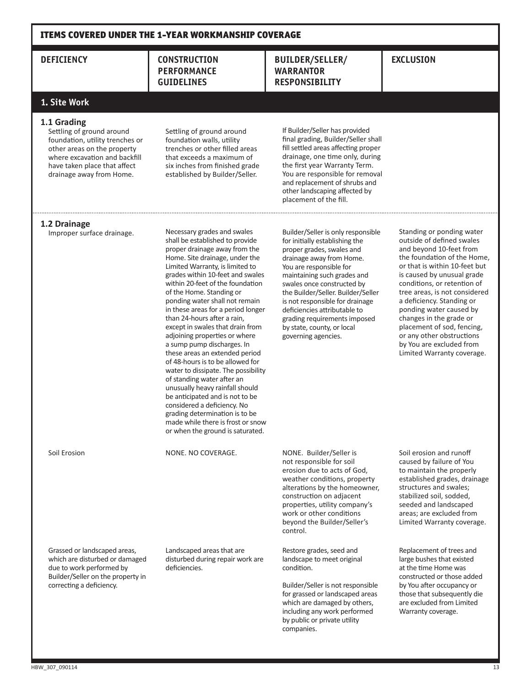#### ITEMS COVERED UNDER THE 1-YEAR WORKMANSHIP COVERAGE

#### **DEFICIENCY CONSTRUCTION**

#### **PERFORMANCE GUIDELINES**

#### **BUILDER/SELLER/ WARRANTOR RESPONSIBILITY**

#### **EXCLUSION**

#### **1. Site Work**

#### **1.1 Grading**

Settling of ground around foundation, utility trenches or other areas on the property where excavation and backfill have taken place that affect drainage away from Home.

Settling of ground around foundation walls, utility trenches or other filled areas that exceeds a maximum of six inches from finished grade established by Builder/Seller.

If Builder/Seller has provided final grading, Builder/Seller shall fill settled areas affecting proper drainage, one time only, during the first year Warranty Term. You are responsible for removal and replacement of shrubs and other landscaping affected by placement of the fill.

#### **1.2 Drainage**

Improper surface drainage.

Necessary grades and swales shall be established to provide proper drainage away from the Home. Site drainage, under the Limited Warranty, is limited to grades within 10-feet and swales within 20-feet of the foundation of the Home. Standing or ponding water shall not remain in these areas for a period longer than 24-hours after a rain, except in swales that drain from adjoining properties or where a sump pump discharges. In these areas an extended period of 48-hours is to be allowed for water to dissipate. The possibility of standing water after an unusually heavy rainfall should be anticipated and is not to be considered a deficiency. No grading determination is to be made while there is frost or snow or when the ground is saturated.

Builder/Seller is only responsible for initially establishing the proper grades, swales and drainage away from Home. You are responsible for maintaining such grades and swales once constructed by the Builder/Seller. Builder/Seller is not responsible for drainage deficiencies attributable to grading requirements imposed by state, county, or local governing agencies.

Standing or ponding water outside of defined swales and beyond 10-feet from the foundation of the Home, or that is within 10-feet but is caused by unusual grade conditions, or retention of tree areas, is not considered a deficiency. Standing or ponding water caused by changes in the grade or placement of sod, fencing, or any other obstructions by You are excluded from Limited Warranty coverage.

Soil Erosion

Grassed or landscaped areas, which are disturbed or damaged due to work performed by Builder/Seller on the property in correcting a deficiency.

NONE. NO COVERAGE.

Landscaped areas that are disturbed during repair work are

deficiencies.

NONE. Builder/Seller is not responsible for soil erosion due to acts of God, weather conditions, property alterations by the homeowner, construction on adjacent properties, utility company's work or other conditions beyond the Builder/Seller's control.

Restore grades, seed and landscape to meet original condition.

Builder/Seller is not responsible for grassed or landscaped areas which are damaged by others, including any work performed by public or private utility companies.

Soil erosion and runoff caused by failure of You to maintain the properly established grades, drainage structures and swales; stabilized soil, sodded, seeded and landscaped areas; are excluded from Limited Warranty coverage.

Replacement of trees and large bushes that existed at the time Home was constructed or those added by You after occupancy or those that subsequently die are excluded from Limited Warranty coverage.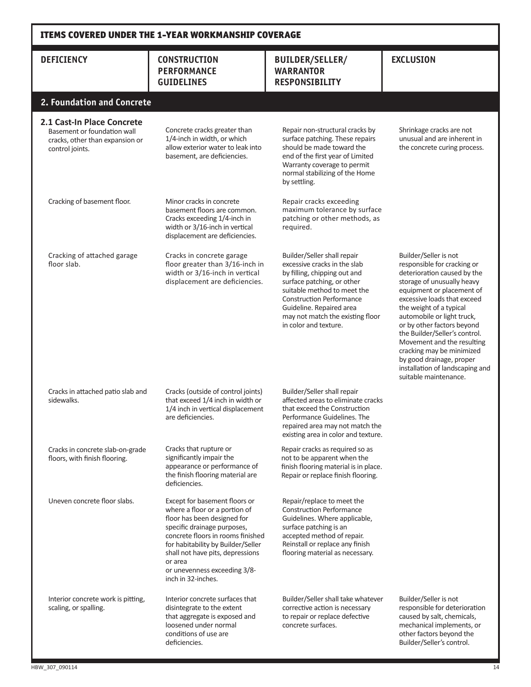#### ITEMS COVERED UNDER THE 1-YEAR WORKMANSHIP COVERAGE

#### **DEFICIENCY CONSTRUCTION PERFORMANCE GUIDELINES**

#### **BUILDER/SELLER/ WARRANTOR RESPONSIBILITY**

#### **EXCLUSION**

#### **2. Foundation and Concrete**

| 2.1 Cast-In Place Concrete<br>Basement or foundation wall<br>cracks, other than expansion or<br>control joints. | Concrete cracks greater than<br>1/4-inch in width, or which<br>allow exterior water to leak into<br>basement, are deficiencies.                                                                                                                                                                              | Repair non-structural cracks by<br>surface patching. These repairs<br>should be made toward the<br>end of the first year of Limited<br>Warranty coverage to permit<br>normal stabilizing of the Home<br>by settling.                                                                 | Shrinkage cracks are not<br>unusual and are inherent in<br>the concrete curing process.                                                                                                                                                                                                                                                                                                                                                                  |
|-----------------------------------------------------------------------------------------------------------------|--------------------------------------------------------------------------------------------------------------------------------------------------------------------------------------------------------------------------------------------------------------------------------------------------------------|--------------------------------------------------------------------------------------------------------------------------------------------------------------------------------------------------------------------------------------------------------------------------------------|----------------------------------------------------------------------------------------------------------------------------------------------------------------------------------------------------------------------------------------------------------------------------------------------------------------------------------------------------------------------------------------------------------------------------------------------------------|
| Cracking of basement floor.                                                                                     | Minor cracks in concrete<br>basement floors are common.<br>Cracks exceeding 1/4-inch in<br>width or 3/16-inch in vertical<br>displacement are deficiencies.                                                                                                                                                  | Repair cracks exceeding<br>maximum tolerance by surface<br>patching or other methods, as<br>required.                                                                                                                                                                                |                                                                                                                                                                                                                                                                                                                                                                                                                                                          |
| Cracking of attached garage<br>floor slab.                                                                      | Cracks in concrete garage<br>floor greater than 3/16-inch in<br>width or 3/16-inch in vertical<br>displacement are deficiencies.                                                                                                                                                                             | Builder/Seller shall repair<br>excessive cracks in the slab<br>by filling, chipping out and<br>surface patching, or other<br>suitable method to meet the<br><b>Construction Performance</b><br>Guideline. Repaired area<br>may not match the existing floor<br>in color and texture. | Builder/Seller is not<br>responsible for cracking or<br>deterioration caused by the<br>storage of unusually heavy<br>equipment or placement of<br>excessive loads that exceed<br>the weight of a typical<br>automobile or light truck,<br>or by other factors beyond<br>the Builder/Seller's control.<br>Movement and the resulting<br>cracking may be minimized<br>by good drainage, proper<br>installation of landscaping and<br>suitable maintenance. |
| Cracks in attached patio slab and<br>sidewalks.                                                                 | Cracks (outside of control joints)<br>that exceed 1/4 inch in width or<br>1/4 inch in vertical displacement<br>are deficiencies.                                                                                                                                                                             | Builder/Seller shall repair<br>affected areas to eliminate cracks<br>that exceed the Construction<br>Performance Guidelines. The<br>repaired area may not match the<br>existing area in color and texture.                                                                           |                                                                                                                                                                                                                                                                                                                                                                                                                                                          |
| Cracks in concrete slab-on-grade<br>floors, with finish flooring.                                               | Cracks that rupture or<br>significantly impair the<br>appearance or performance of<br>the finish flooring material are<br>deficiencies.                                                                                                                                                                      | Repair cracks as required so as<br>not to be apparent when the<br>finish flooring material is in place.<br>Repair or replace finish flooring.                                                                                                                                        |                                                                                                                                                                                                                                                                                                                                                                                                                                                          |
| Uneven concrete floor slabs.                                                                                    | Except for basement floors or<br>where a floor or a portion of<br>floor has been designed for<br>specific drainage purposes,<br>concrete floors in rooms finished<br>for habitability by Builder/Seller<br>shall not have pits, depressions<br>or area<br>or unevenness exceeding 3/8-<br>inch in 32-inches. | Repair/replace to meet the<br><b>Construction Performance</b><br>Guidelines. Where applicable,<br>surface patching is an<br>accepted method of repair.<br>Reinstall or replace any finish<br>flooring material as necessary.                                                         |                                                                                                                                                                                                                                                                                                                                                                                                                                                          |
| Interior concrete work is pitting,<br>scaling, or spalling.                                                     | Interior concrete surfaces that<br>disintegrate to the extent<br>that aggregate is exposed and<br>loosened under normal<br>conditions of use are<br>deficiencies.                                                                                                                                            | Builder/Seller shall take whatever<br>corrective action is necessary<br>to repair or replace defective<br>concrete surfaces.                                                                                                                                                         | Builder/Seller is not<br>responsible for deterioration<br>caused by salt, chemicals,<br>mechanical implements, or<br>other factors beyond the<br>Builder/Seller's control.                                                                                                                                                                                                                                                                               |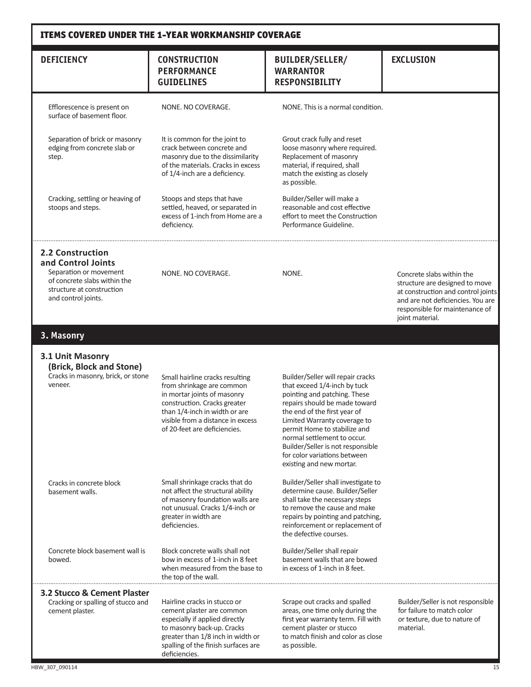| <b>ITEMS COVERED UNDER THE 1-YEAR WORKMANSHIP COVERAGE</b>                                                                                           |                                                                                                                                                                                                                                   |                                                                                                                                                                                                                                                                                                                                                                    |                                                                                                                                                                                             |
|------------------------------------------------------------------------------------------------------------------------------------------------------|-----------------------------------------------------------------------------------------------------------------------------------------------------------------------------------------------------------------------------------|--------------------------------------------------------------------------------------------------------------------------------------------------------------------------------------------------------------------------------------------------------------------------------------------------------------------------------------------------------------------|---------------------------------------------------------------------------------------------------------------------------------------------------------------------------------------------|
| <b>DEFICIENCY</b>                                                                                                                                    | <b>CONSTRUCTION</b><br><b>PERFORMANCE</b><br><b>GUIDELINES</b>                                                                                                                                                                    | <b>BUILDER/SELLER/</b><br><b>WARRANTOR</b><br><b>RESPONSIBILITY</b>                                                                                                                                                                                                                                                                                                | <b>EXCLUSION</b>                                                                                                                                                                            |
| Efflorescence is present on<br>surface of basement floor.                                                                                            | NONE. NO COVERAGE.                                                                                                                                                                                                                | NONE. This is a normal condition.                                                                                                                                                                                                                                                                                                                                  |                                                                                                                                                                                             |
| Separation of brick or masonry<br>edging from concrete slab or<br>step.                                                                              | It is common for the joint to<br>crack between concrete and<br>masonry due to the dissimilarity<br>of the materials. Cracks in excess<br>of 1/4-inch are a deficiency.                                                            | Grout crack fully and reset<br>loose masonry where required.<br>Replacement of masonry<br>material, if required, shall<br>match the existing as closely<br>as possible.                                                                                                                                                                                            |                                                                                                                                                                                             |
| Cracking, settling or heaving of<br>stoops and steps.                                                                                                | Stoops and steps that have<br>settled, heaved, or separated in<br>excess of 1-inch from Home are a<br>deficiency.                                                                                                                 | Builder/Seller will make a<br>reasonable and cost effective<br>effort to meet the Construction<br>Performance Guideline.                                                                                                                                                                                                                                           |                                                                                                                                                                                             |
| 2.2 Construction<br>and Control Joints<br>Separation or movement<br>of concrete slabs within the<br>structure at construction<br>and control joints. | NONE. NO COVERAGE.                                                                                                                                                                                                                | NONE.                                                                                                                                                                                                                                                                                                                                                              | Concrete slabs within the<br>structure are designed to move<br>at construction and control joints<br>and are not deficiencies. You are<br>responsible for maintenance of<br>joint material. |
| 3. Masonry                                                                                                                                           |                                                                                                                                                                                                                                   |                                                                                                                                                                                                                                                                                                                                                                    |                                                                                                                                                                                             |
| 3.1 Unit Masonry<br>(Brick, Block and Stone)<br>Cracks in masonry, brick, or stone<br>veneer.                                                        | Small hairline cracks resulting<br>from shrinkage are common<br>in mortar joints of masonry<br>construction. Cracks greater<br>than 1/4-inch in width or are<br>visible from a distance in excess<br>of 20-feet are deficiencies. | Builder/Seller will repair cracks<br>that exceed 1/4-inch by tuck<br>pointing and patching. These<br>repairs should be made toward<br>the end of the first year of<br>Limited Warranty coverage to<br>permit Home to stabilize and<br>normal settlement to occur.<br>Builder/Seller is not responsible<br>for color variations between<br>existing and new mortar. |                                                                                                                                                                                             |
| Cracks in concrete block<br>basement walls.                                                                                                          | Small shrinkage cracks that do<br>not affect the structural ability<br>of masonry foundation walls are<br>not unusual. Cracks 1/4-inch or<br>greater in width are<br>deficiencies.                                                | Builder/Seller shall investigate to<br>determine cause. Builder/Seller<br>shall take the necessary steps<br>to remove the cause and make<br>repairs by pointing and patching,<br>reinforcement or replacement of<br>the defective courses.                                                                                                                         |                                                                                                                                                                                             |
| Concrete block basement wall is<br>bowed.                                                                                                            | Block concrete walls shall not<br>bow in excess of 1-inch in 8 feet<br>when measured from the base to<br>the top of the wall.                                                                                                     | Builder/Seller shall repair<br>basement walls that are bowed<br>in excess of 1-inch in 8 feet.                                                                                                                                                                                                                                                                     |                                                                                                                                                                                             |
| 3.2 Stucco & Cement Plaster<br>Cracking or spalling of stucco and<br>cement plaster.                                                                 | Hairline cracks in stucco or<br>cement plaster are common<br>especially if applied directly<br>to masonry back-up. Cracks<br>greater than 1/8 inch in width or<br>spalling of the finish surfaces are<br>deficiencies.            | Scrape out cracks and spalled<br>areas, one time only during the<br>first year warranty term. Fill with<br>cement plaster or stucco<br>to match finish and color as close<br>as possible.                                                                                                                                                                          | Builder/Seller is not responsible<br>for failure to match color<br>or texture, due to nature of<br>material.                                                                                |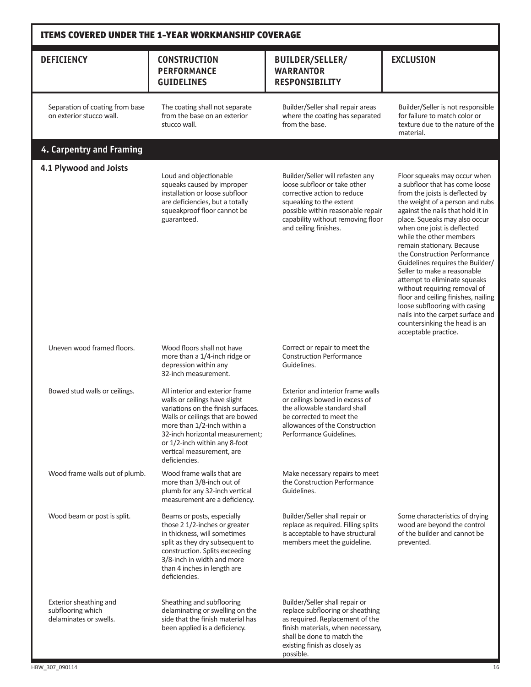| <b>DEFICIENCY</b>                                                     | <b>CONSTRUCTION</b><br><b>PERFORMANCE</b><br><b>GUIDELINES</b>                                                                                                                                                                                                                              | <b>BUILDER/SELLER/</b><br><b>WARRANTOR</b><br><b>RESPONSIBILITY</b>                                                                                                                                                           | <b>EXCLUSION</b>                                                                                                                                                                                                                                                                                                                                                                                                                                                                                                                                                                                                                            |
|-----------------------------------------------------------------------|---------------------------------------------------------------------------------------------------------------------------------------------------------------------------------------------------------------------------------------------------------------------------------------------|-------------------------------------------------------------------------------------------------------------------------------------------------------------------------------------------------------------------------------|---------------------------------------------------------------------------------------------------------------------------------------------------------------------------------------------------------------------------------------------------------------------------------------------------------------------------------------------------------------------------------------------------------------------------------------------------------------------------------------------------------------------------------------------------------------------------------------------------------------------------------------------|
| Separation of coating from base<br>on exterior stucco wall.           | The coating shall not separate<br>from the base on an exterior<br>stucco wall.                                                                                                                                                                                                              | Builder/Seller shall repair areas<br>where the coating has separated<br>from the base.                                                                                                                                        | Builder/Seller is not responsible<br>for failure to match color or<br>texture due to the nature of the<br>material.                                                                                                                                                                                                                                                                                                                                                                                                                                                                                                                         |
| 4. Carpentry and Framing                                              |                                                                                                                                                                                                                                                                                             |                                                                                                                                                                                                                               |                                                                                                                                                                                                                                                                                                                                                                                                                                                                                                                                                                                                                                             |
| 4.1 Plywood and Joists                                                | Loud and objectionable<br>squeaks caused by improper<br>installation or loose subfloor<br>are deficiencies, but a totally<br>squeakproof floor cannot be<br>guaranteed.                                                                                                                     | Builder/Seller will refasten any<br>loose subfloor or take other<br>corrective action to reduce<br>squeaking to the extent<br>possible within reasonable repair<br>capability without removing floor<br>and ceiling finishes. | Floor squeaks may occur when<br>a subfloor that has come loose<br>from the joists is deflected by<br>the weight of a person and rubs<br>against the nails that hold it in<br>place. Squeaks may also occur<br>when one joist is deflected<br>while the other members<br>remain stationary. Because<br>the Construction Performance<br>Guidelines requires the Builder/<br>Seller to make a reasonable<br>attempt to eliminate squeaks<br>without requiring removal of<br>floor and ceiling finishes, nailing<br>loose subflooring with casing<br>nails into the carpet surface and<br>countersinking the head is an<br>acceptable practice. |
| Uneven wood framed floors.                                            | Wood floors shall not have<br>more than a 1/4-inch ridge or<br>depression within any<br>32-inch measurement.                                                                                                                                                                                | Correct or repair to meet the<br><b>Construction Performance</b><br>Guidelines.                                                                                                                                               |                                                                                                                                                                                                                                                                                                                                                                                                                                                                                                                                                                                                                                             |
| Bowed stud walls or ceilings.                                         | All interior and exterior frame<br>walls or ceilings have slight<br>variations on the finish surfaces.<br>Walls or ceilings that are bowed<br>more than 1/2-inch within a<br>32-inch horizontal measurement;<br>or 1/2-inch within any 8-foot<br>vertical measurement, are<br>deficiencies. | Exterior and interior frame walls<br>or ceilings bowed in excess of<br>the allowable standard shall<br>be corrected to meet the<br>allowances of the Construction<br>Performance Guidelines.                                  |                                                                                                                                                                                                                                                                                                                                                                                                                                                                                                                                                                                                                                             |
| Wood frame walls out of plumb.                                        | Wood frame walls that are<br>more than 3/8-inch out of<br>plumb for any 32-inch vertical<br>measurement are a deficiency.                                                                                                                                                                   | Make necessary repairs to meet<br>the Construction Performance<br>Guidelines.                                                                                                                                                 |                                                                                                                                                                                                                                                                                                                                                                                                                                                                                                                                                                                                                                             |
| Wood beam or post is split.                                           | Beams or posts, especially<br>those 2 1/2-inches or greater<br>in thickness, will sometimes<br>split as they dry subsequent to<br>construction. Splits exceeding<br>3/8-inch in width and more<br>than 4 inches in length are<br>deficiencies.                                              | Builder/Seller shall repair or<br>replace as required. Filling splits<br>is acceptable to have structural<br>members meet the guideline.                                                                                      | Some characteristics of drying<br>wood are beyond the control<br>of the builder and cannot be<br>prevented.                                                                                                                                                                                                                                                                                                                                                                                                                                                                                                                                 |
| Exterior sheathing and<br>subflooring which<br>delaminates or swells. | Sheathing and subflooring<br>delaminating or swelling on the<br>side that the finish material has<br>been applied is a deficiency.                                                                                                                                                          | Builder/Seller shall repair or<br>replace subflooring or sheathing<br>as required. Replacement of the<br>finish materials, when necessary,<br>shall be done to match the<br>existing finish as closely as<br>possible.        |                                                                                                                                                                                                                                                                                                                                                                                                                                                                                                                                                                                                                                             |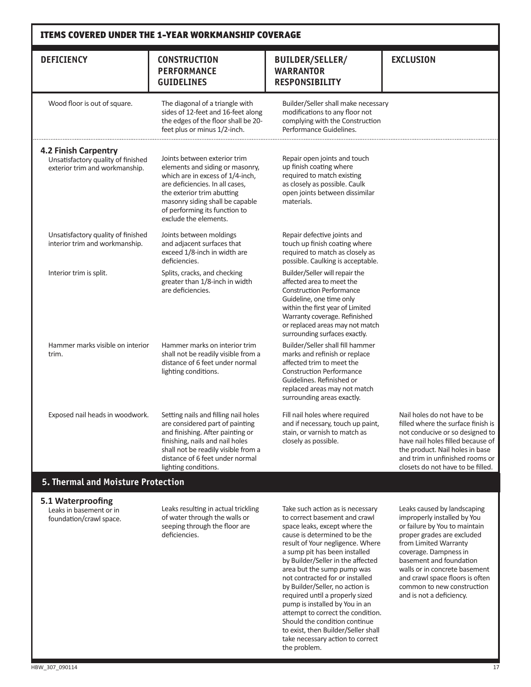| <b>ITEMS COVERED UNDER THE 1-YEAR WORKMANSHIP COVERAGE</b>                                   |                                                                                                                                                                                                                                                                   |                                                                                                                                                                                                                                                                     |                                                                                                                                                                                                                                                       |  |
|----------------------------------------------------------------------------------------------|-------------------------------------------------------------------------------------------------------------------------------------------------------------------------------------------------------------------------------------------------------------------|---------------------------------------------------------------------------------------------------------------------------------------------------------------------------------------------------------------------------------------------------------------------|-------------------------------------------------------------------------------------------------------------------------------------------------------------------------------------------------------------------------------------------------------|--|
| <b>DEFICIENCY</b>                                                                            | <b>CONSTRUCTION</b><br><b>PERFORMANCE</b><br><b>GUIDELINES</b>                                                                                                                                                                                                    | <b>BUILDER/SELLER/</b><br><b>WARRANTOR</b><br><b>RESPONSIBILITY</b>                                                                                                                                                                                                 | <b>EXCLUSION</b>                                                                                                                                                                                                                                      |  |
| Wood floor is out of square.                                                                 | The diagonal of a triangle with<br>sides of 12-feet and 16-feet along<br>the edges of the floor shall be 20-<br>feet plus or minus 1/2-inch.                                                                                                                      | Builder/Seller shall make necessary<br>modifications to any floor not<br>complying with the Construction<br>Performance Guidelines.                                                                                                                                 |                                                                                                                                                                                                                                                       |  |
| 4.2 Finish Carpentry<br>Unsatisfactory quality of finished<br>exterior trim and workmanship. | Joints between exterior trim<br>elements and siding or masonry,<br>which are in excess of 1/4-inch,<br>are deficiencies. In all cases,<br>the exterior trim abutting<br>masonry siding shall be capable<br>of performing its function to<br>exclude the elements. | Repair open joints and touch<br>up finish coating where<br>required to match existing<br>as closely as possible. Caulk<br>open joints between dissimilar<br>materials.                                                                                              |                                                                                                                                                                                                                                                       |  |
| Unsatisfactory quality of finished<br>interior trim and workmanship.                         | Joints between moldings<br>and adjacent surfaces that<br>exceed 1/8-inch in width are<br>deficiencies.                                                                                                                                                            | Repair defective joints and<br>touch up finish coating where<br>required to match as closely as<br>possible. Caulking is acceptable.                                                                                                                                |                                                                                                                                                                                                                                                       |  |
| Interior trim is split.                                                                      | Splits, cracks, and checking<br>greater than 1/8-inch in width<br>are deficiencies.                                                                                                                                                                               | Builder/Seller will repair the<br>affected area to meet the<br><b>Construction Performance</b><br>Guideline, one time only<br>within the first year of Limited<br>Warranty coverage. Refinished<br>or replaced areas may not match<br>surrounding surfaces exactly. |                                                                                                                                                                                                                                                       |  |
| Hammer marks visible on interior<br>trim.                                                    | Hammer marks on interior trim<br>shall not be readily visible from a<br>distance of 6 feet under normal<br>lighting conditions.                                                                                                                                   | Builder/Seller shall fill hammer<br>marks and refinish or replace<br>affected trim to meet the<br><b>Construction Performance</b><br>Guidelines. Refinished or<br>replaced areas may not match<br>surrounding areas exactly.                                        |                                                                                                                                                                                                                                                       |  |
| Exposed nail heads in woodwork.                                                              | Setting nails and filling nail holes<br>are considered part of painting<br>and finishing. After painting or<br>finishing, nails and nail holes<br>shall not be readily visible from a<br>distance of 6 feet under normal<br>lighting conditions.                  | Fill nail holes where required<br>and if necessary, touch up paint,<br>stain, or varnish to match as<br>closely as possible.                                                                                                                                        | Nail holes do not have to be<br>filled where the surface finish is<br>not conducive or so designed to<br>have nail holes filled because of<br>the product. Nail holes in base<br>and trim in unfinished rooms or<br>closets do not have to be filled. |  |
|                                                                                              | 5. Thermal and Moisture Protection                                                                                                                                                                                                                                |                                                                                                                                                                                                                                                                     |                                                                                                                                                                                                                                                       |  |
| 5.1 Waterproofing<br>Leaks in basement or in                                                 | Leaks resulting in actual trickling                                                                                                                                                                                                                               | Take such action as is necessary                                                                                                                                                                                                                                    | Leaks caused by landscaping                                                                                                                                                                                                                           |  |

foundation/crawl space.

of water through the walls or seeping through the floor are deficiencies.

to correct basement and crawl space leaks, except where the cause is determined to be the result of Your negligence. Where a sump pit has been installed by Builder/Seller in the affected area but the sump pump was not contracted for or installed by Builder/Seller, no action is required until a properly sized pump is installed by You in an attempt to correct the condition. Should the condition continue to exist, then Builder/Seller shall take necessary action to correct the problem.

improperly installed by You or failure by You to maintain proper grades are excluded from Limited Warranty coverage. Dampness in basement and foundation walls or in concrete basement and crawl space floors is often common to new construction and is not a deficiency.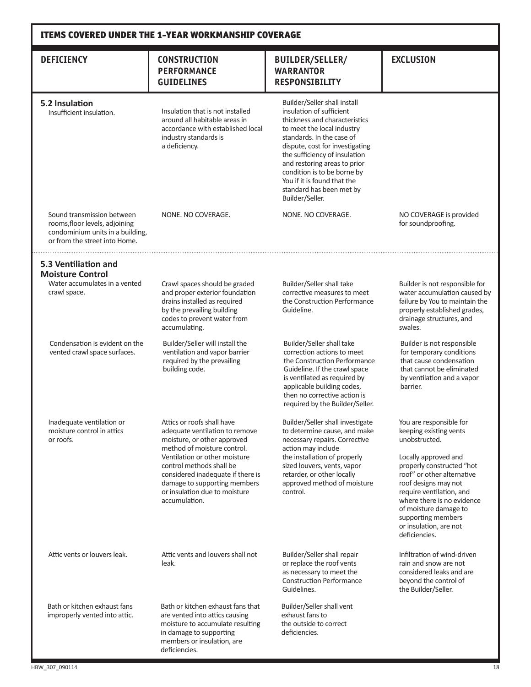| <b>ITEMS COVERED UNDER THE 1-YEAR WORKMANSHIP COVERAGE</b>                                                                        |                                                                                                                                                                                                                                                                                                                |                                                                                                                                                                                                                                                                                                                                                                       |                                                                                                                                                                                                                                                                                                                                   |
|-----------------------------------------------------------------------------------------------------------------------------------|----------------------------------------------------------------------------------------------------------------------------------------------------------------------------------------------------------------------------------------------------------------------------------------------------------------|-----------------------------------------------------------------------------------------------------------------------------------------------------------------------------------------------------------------------------------------------------------------------------------------------------------------------------------------------------------------------|-----------------------------------------------------------------------------------------------------------------------------------------------------------------------------------------------------------------------------------------------------------------------------------------------------------------------------------|
| <b>DEFICIENCY</b>                                                                                                                 | <b>CONSTRUCTION</b><br><b>PERFORMANCE</b><br><b>GUIDELINES</b>                                                                                                                                                                                                                                                 | <b>BUILDER/SELLER/</b><br><b>WARRANTOR</b><br><b>RESPONSIBILITY</b>                                                                                                                                                                                                                                                                                                   | <b>EXCLUSION</b>                                                                                                                                                                                                                                                                                                                  |
| 5.2 Insulation<br>Insufficient insulation.                                                                                        | Insulation that is not installed<br>around all habitable areas in<br>accordance with established local<br>industry standards is<br>a deficiency.                                                                                                                                                               | Builder/Seller shall install<br>insulation of sufficient<br>thickness and characteristics<br>to meet the local industry<br>standards. In the case of<br>dispute, cost for investigating<br>the sufficiency of insulation<br>and restoring areas to prior<br>condition is to be borne by<br>You if it is found that the<br>standard has been met by<br>Builder/Seller. |                                                                                                                                                                                                                                                                                                                                   |
| Sound transmission between<br>rooms, floor levels, adjoining<br>condominium units in a building,<br>or from the street into Home. | NONE. NO COVERAGE.                                                                                                                                                                                                                                                                                             | NONE. NO COVERAGE.                                                                                                                                                                                                                                                                                                                                                    | NO COVERAGE is provided<br>for soundproofing.                                                                                                                                                                                                                                                                                     |
| 5.3 Ventiliation and<br><b>Moisture Control</b><br>Water accumulates in a vented<br>crawl space.                                  | Crawl spaces should be graded<br>and proper exterior foundation<br>drains installed as required<br>by the prevailing building<br>codes to prevent water from<br>accumulating.                                                                                                                                  | Builder/Seller shall take<br>corrective measures to meet<br>the Construction Performance<br>Guideline.                                                                                                                                                                                                                                                                | Builder is not responsible for<br>water accumulation caused by<br>failure by You to maintain the<br>properly established grades,<br>drainage structures, and<br>swales.                                                                                                                                                           |
| Condensation is evident on the<br>vented crawl space surfaces.                                                                    | Builder/Seller will install the<br>ventilation and vapor barrier<br>required by the prevailing<br>building code.                                                                                                                                                                                               | Builder/Seller shall take<br>correction actions to meet<br>the Construction Performance<br>Guideline. If the crawl space<br>is ventilated as required by<br>applicable building codes,<br>then no corrective action is<br>required by the Builder/Seller.                                                                                                             | Builder is not responsible<br>for temporary conditions<br>that cause condensation<br>that cannot be eliminated<br>by ventilation and a vapor<br>barrier.                                                                                                                                                                          |
| Inadequate ventilation or<br>moisture control in attics<br>or roofs.                                                              | Attics or roofs shall have<br>adequate ventilation to remove<br>moisture, or other approved<br>method of moisture control.<br>Ventilation or other moisture<br>control methods shall be<br>considered inadequate if there is<br>damage to supporting members<br>or insulation due to moisture<br>accumulation. | Builder/Seller shall investigate<br>to determine cause, and make<br>necessary repairs. Corrective<br>action may include<br>the installation of properly<br>sized louvers, vents, vapor<br>retarder, or other locally<br>approved method of moisture<br>control.                                                                                                       | You are responsible for<br>keeping existing vents<br>unobstructed.<br>Locally approved and<br>properly constructed "hot<br>roof" or other alternative<br>roof designs may not<br>require ventilation, and<br>where there is no evidence<br>of moisture damage to<br>supporting members<br>or insulation, are not<br>deficiencies. |
| Attic vents or louvers leak.                                                                                                      | Attic vents and louvers shall not<br>leak.                                                                                                                                                                                                                                                                     | Builder/Seller shall repair<br>or replace the roof vents<br>as necessary to meet the<br><b>Construction Performance</b><br>Guidelines.                                                                                                                                                                                                                                | Infiltration of wind-driven<br>rain and snow are not<br>considered leaks and are<br>beyond the control of<br>the Builder/Seller.                                                                                                                                                                                                  |
| Bath or kitchen exhaust fans<br>improperly vented into attic.                                                                     | Bath or kitchen exhaust fans that<br>are vented into attics causing<br>moisture to accumulate resulting<br>in damage to supporting<br>members or insulation, are<br>deficiencies.                                                                                                                              | Builder/Seller shall vent<br>exhaust fans to<br>the outside to correct<br>deficiencies.                                                                                                                                                                                                                                                                               |                                                                                                                                                                                                                                                                                                                                   |

ł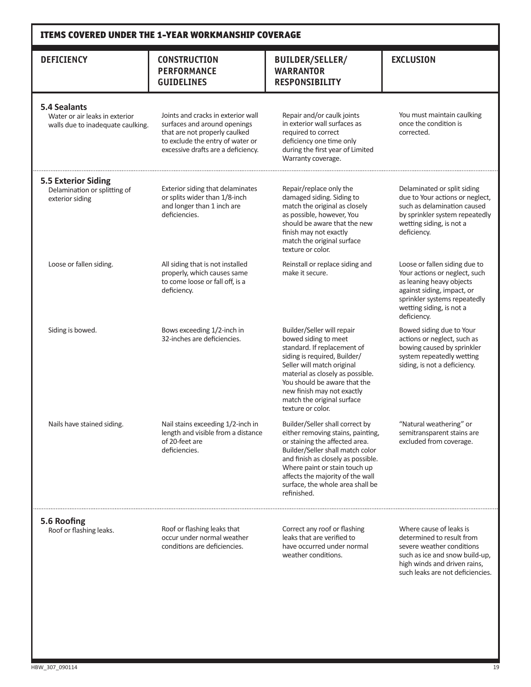| <b>ITEMS COVERED UNDER THE 1-YEAR WORKMANSHIP COVERAGE</b>                                 |                                                                                                                                                                               |                                                                                                                                                                                                                                                                                                          |                                                                                                                                                                                                     |
|--------------------------------------------------------------------------------------------|-------------------------------------------------------------------------------------------------------------------------------------------------------------------------------|----------------------------------------------------------------------------------------------------------------------------------------------------------------------------------------------------------------------------------------------------------------------------------------------------------|-----------------------------------------------------------------------------------------------------------------------------------------------------------------------------------------------------|
| <b>DEFICIENCY</b>                                                                          | <b>CONSTRUCTION</b><br><b>PERFORMANCE</b><br><b>GUIDELINES</b>                                                                                                                | <b>BUILDER/SELLER/</b><br><b>WARRANTOR</b><br><b>RESPONSIBILITY</b>                                                                                                                                                                                                                                      | <b>EXCLUSION</b>                                                                                                                                                                                    |
| <b>5.4 Sealants</b><br>Water or air leaks in exterior<br>walls due to inadequate caulking. | Joints and cracks in exterior wall<br>surfaces and around openings<br>that are not properly caulked<br>to exclude the entry of water or<br>excessive drafts are a deficiency. | Repair and/or caulk joints<br>in exterior wall surfaces as<br>required to correct<br>deficiency one time only<br>during the first year of Limited<br>Warranty coverage.                                                                                                                                  | You must maintain caulking<br>once the condition is<br>corrected.                                                                                                                                   |
| <b>5.5 Exterior Siding</b><br>Delamination or splitting of<br>exterior siding              | Exterior siding that delaminates<br>or splits wider than 1/8-inch<br>and longer than 1 inch are<br>deficiencies.                                                              | Repair/replace only the<br>damaged siding. Siding to<br>match the original as closely<br>as possible, however, You<br>should be aware that the new<br>finish may not exactly<br>match the original surface<br>texture or color.                                                                          | Delaminated or split siding<br>due to Your actions or neglect,<br>such as delamination caused<br>by sprinkler system repeatedly<br>wetting siding, is not a<br>deficiency.                          |
| Loose or fallen siding.                                                                    | All siding that is not installed<br>properly, which causes same<br>to come loose or fall off, is a<br>deficiency.                                                             | Reinstall or replace siding and<br>make it secure.                                                                                                                                                                                                                                                       | Loose or fallen siding due to<br>Your actions or neglect, such<br>as leaning heavy objects<br>against siding, impact, or<br>sprinkler systems repeatedly<br>wetting siding, is not a<br>deficiency. |
| Siding is bowed.                                                                           | Bows exceeding 1/2-inch in<br>32-inches are deficiencies.                                                                                                                     | Builder/Seller will repair<br>bowed siding to meet<br>standard. If replacement of<br>siding is required, Builder/<br>Seller will match original<br>material as closely as possible.<br>You should be aware that the<br>new finish may not exactly<br>match the original surface<br>texture or color.     | Bowed siding due to Your<br>actions or neglect, such as<br>bowing caused by sprinkler<br>system repeatedly wetting<br>siding, is not a deficiency.                                                  |
| Nails have stained siding.                                                                 | Nail stains exceeding 1/2-inch in<br>length and visible from a distance<br>of 20-feet are<br>deficiencies.                                                                    | Builder/Seller shall correct by<br>either removing stains, painting,<br>or staining the affected area.<br>Builder/Seller shall match color<br>and finish as closely as possible.<br>Where paint or stain touch up<br>affects the majority of the wall<br>surface, the whole area shall be<br>refinished. | "Natural weathering" or<br>semitransparent stains are<br>excluded from coverage.                                                                                                                    |
| 5.6 Roofing<br>Roof or flashing leaks.                                                     | Roof or flashing leaks that<br>occur under normal weather<br>conditions are deficiencies.                                                                                     | Correct any roof or flashing<br>leaks that are verified to<br>have occurred under normal<br>weather conditions.                                                                                                                                                                                          | Where cause of leaks is<br>determined to result from<br>severe weather conditions<br>such as ice and snow build-up,<br>high winds and driven rains,<br>such leaks are not deficiencies.             |
|                                                                                            |                                                                                                                                                                               |                                                                                                                                                                                                                                                                                                          |                                                                                                                                                                                                     |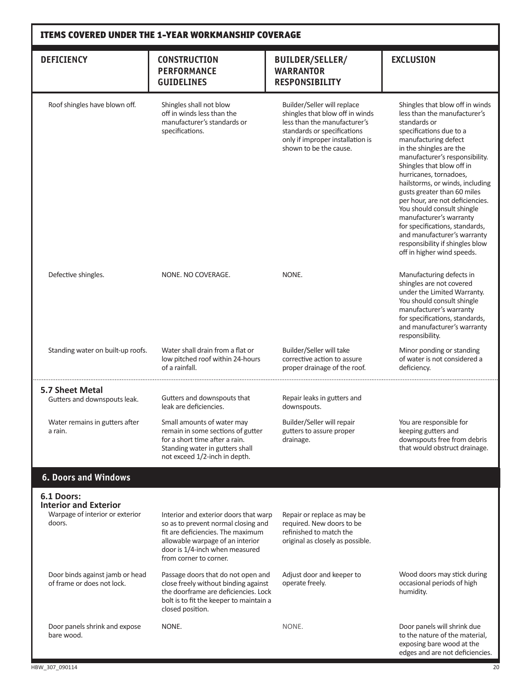| <b>ITEMS COVERED UNDER THE 1-YEAR WORKMANSHIP COVERAGE</b>                              |                                                                                                                                                                                                                   |                                                                                                                                                                                             |                                                                                                                                                                                                                                                                                                                                                                                                                                                                                                                                                        |
|-----------------------------------------------------------------------------------------|-------------------------------------------------------------------------------------------------------------------------------------------------------------------------------------------------------------------|---------------------------------------------------------------------------------------------------------------------------------------------------------------------------------------------|--------------------------------------------------------------------------------------------------------------------------------------------------------------------------------------------------------------------------------------------------------------------------------------------------------------------------------------------------------------------------------------------------------------------------------------------------------------------------------------------------------------------------------------------------------|
| <b>DEFICIENCY</b>                                                                       | <b>CONSTRUCTION</b><br><b>PERFORMANCE</b><br><b>GUIDELINES</b>                                                                                                                                                    | <b>BUILDER/SELLER/</b><br><b>WARRANTOR</b><br><b>RESPONSIBILITY</b>                                                                                                                         | <b>EXCLUSION</b>                                                                                                                                                                                                                                                                                                                                                                                                                                                                                                                                       |
| Roof shingles have blown off.                                                           | Shingles shall not blow<br>off in winds less than the<br>manufacturer's standards or<br>specifications.                                                                                                           | Builder/Seller will replace<br>shingles that blow off in winds<br>less than the manufacturer's<br>standards or specifications<br>only if improper installation is<br>shown to be the cause. | Shingles that blow off in winds<br>less than the manufacturer's<br>standards or<br>specifications due to a<br>manufacturing defect<br>in the shingles are the<br>manufacturer's responsibility.<br>Shingles that blow off in<br>hurricanes, tornadoes,<br>hailstorms, or winds, including<br>gusts greater than 60 miles<br>per hour, are not deficiencies.<br>You should consult shingle<br>manufacturer's warranty<br>for specifications, standards,<br>and manufacturer's warranty<br>responsibility if shingles blow<br>off in higher wind speeds. |
| Defective shingles.                                                                     | NONE. NO COVERAGE.                                                                                                                                                                                                | NONE.                                                                                                                                                                                       | Manufacturing defects in<br>shingles are not covered<br>under the Limited Warranty.<br>You should consult shingle<br>manufacturer's warranty<br>for specifications, standards,<br>and manufacturer's warranty<br>responsibility.                                                                                                                                                                                                                                                                                                                       |
| Standing water on built-up roofs.                                                       | Water shall drain from a flat or<br>low pitched roof within 24-hours<br>of a rainfall.                                                                                                                            | Builder/Seller will take<br>corrective action to assure<br>proper drainage of the roof.                                                                                                     | Minor ponding or standing<br>of water is not considered a<br>deficiency.                                                                                                                                                                                                                                                                                                                                                                                                                                                                               |
| 5.7 Sheet Metal<br>Gutters and downspouts leak.                                         | Gutters and downspouts that<br>leak are deficiencies.                                                                                                                                                             | Repair leaks in gutters and<br>downspouts.                                                                                                                                                  |                                                                                                                                                                                                                                                                                                                                                                                                                                                                                                                                                        |
| Water remains in gutters after<br>a rain.                                               | Small amounts of water may<br>remain in some sections of gutter<br>for a short time after a rain.<br>Standing water in gutters shall<br>not exceed 1/2-inch in depth.                                             | Builder/Seller will repair<br>gutters to assure proper<br>drainage.                                                                                                                         | You are responsible for<br>keeping gutters and<br>downspouts free from debris<br>that would obstruct drainage.                                                                                                                                                                                                                                                                                                                                                                                                                                         |
| <b>6. Doors and Windows</b>                                                             |                                                                                                                                                                                                                   |                                                                                                                                                                                             |                                                                                                                                                                                                                                                                                                                                                                                                                                                                                                                                                        |
| 6.1 Doors:<br><b>Interior and Exterior</b><br>Warpage of interior or exterior<br>doors. | Interior and exterior doors that warp<br>so as to prevent normal closing and<br>fit are deficiencies. The maximum<br>allowable warpage of an interior<br>door is 1/4-inch when measured<br>from corner to corner. | Repair or replace as may be<br>required. New doors to be<br>refinished to match the<br>original as closely as possible.                                                                     |                                                                                                                                                                                                                                                                                                                                                                                                                                                                                                                                                        |
| Door binds against jamb or head<br>of frame or does not lock.                           | Passage doors that do not open and<br>close freely without binding against<br>the doorframe are deficiencies. Lock<br>bolt is to fit the keeper to maintain a<br>closed position.                                 | Adjust door and keeper to<br>operate freely.                                                                                                                                                | Wood doors may stick during<br>occasional periods of high<br>humidity.                                                                                                                                                                                                                                                                                                                                                                                                                                                                                 |
| Door panels shrink and expose<br>bare wood.                                             | NONE.                                                                                                                                                                                                             | NONE.                                                                                                                                                                                       | Door panels will shrink due<br>to the nature of the material,<br>exposing bare wood at the<br>edges and are not deficiencies.                                                                                                                                                                                                                                                                                                                                                                                                                          |

ł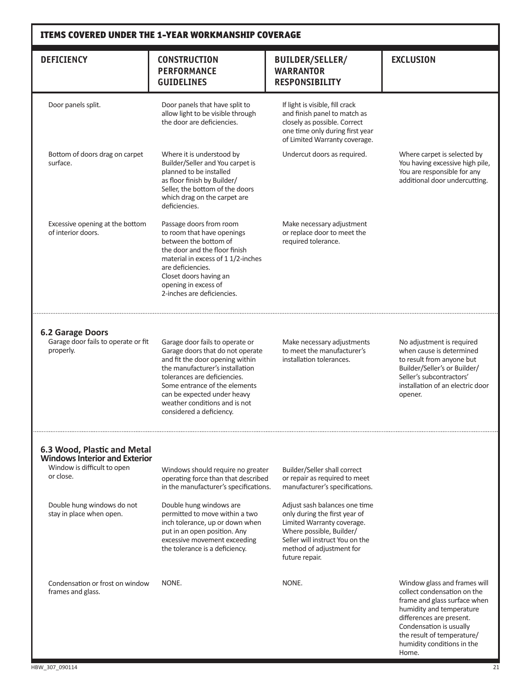| <b>ITEMS COVERED UNDER THE 1-YEAR WORKMANSHIP COVERAGE</b>                                                      |                                                                                                                                                                                                                                                                                                        |                                                                                                                                                                                                           |                                                                                                                                                                                                                                            |
|-----------------------------------------------------------------------------------------------------------------|--------------------------------------------------------------------------------------------------------------------------------------------------------------------------------------------------------------------------------------------------------------------------------------------------------|-----------------------------------------------------------------------------------------------------------------------------------------------------------------------------------------------------------|--------------------------------------------------------------------------------------------------------------------------------------------------------------------------------------------------------------------------------------------|
| <b>DEFICIENCY</b>                                                                                               | <b>CONSTRUCTION</b><br><b>PERFORMANCE</b><br><b>GUIDELINES</b>                                                                                                                                                                                                                                         | BUILDER/SELLER/<br><b>WARRANTOR</b><br><b>RESPONSIBILITY</b>                                                                                                                                              | <b>EXCLUSION</b>                                                                                                                                                                                                                           |
| Door panels split.                                                                                              | Door panels that have split to<br>allow light to be visible through<br>the door are deficiencies.                                                                                                                                                                                                      | If light is visible, fill crack<br>and finish panel to match as<br>closely as possible. Correct<br>one time only during first year<br>of Limited Warranty coverage.                                       |                                                                                                                                                                                                                                            |
| Bottom of doors drag on carpet<br>surface.                                                                      | Where it is understood by<br>Builder/Seller and You carpet is<br>planned to be installed<br>as floor finish by Builder/<br>Seller, the bottom of the doors<br>which drag on the carpet are<br>deficiencies.                                                                                            | Undercut doors as required.                                                                                                                                                                               | Where carpet is selected by<br>You having excessive high pile,<br>You are responsible for any<br>additional door undercutting.                                                                                                             |
| Excessive opening at the bottom<br>of interior doors.                                                           | Passage doors from room<br>to room that have openings<br>between the bottom of<br>the door and the floor finish<br>material in excess of 1 1/2-inches<br>are deficiencies.<br>Closet doors having an<br>opening in excess of<br>2-inches are deficiencies.                                             | Make necessary adjustment<br>or replace door to meet the<br>required tolerance.                                                                                                                           |                                                                                                                                                                                                                                            |
| <b>6.2 Garage Doors</b><br>Garage door fails to operate or fit<br>properly.                                     | Garage door fails to operate or<br>Garage doors that do not operate<br>and fit the door opening within<br>the manufacturer's installation<br>tolerances are deficiencies.<br>Some entrance of the elements<br>can be expected under heavy<br>weather conditions and is not<br>considered a deficiency. | Make necessary adjustments<br>to meet the manufacturer's<br>installation tolerances.                                                                                                                      | No adjustment is required<br>when cause is determined<br>to result from anyone but<br>Builder/Seller's or Builder/<br>Seller's subcontractors'<br>installation of an electric door<br>opener.                                              |
| 6.3 Wood, Plastic and Metal<br><b>Windows Interior and Exterior</b><br>Window is difficult to open<br>or close. | Windows should require no greater<br>operating force than that described<br>in the manufacturer's specifications.                                                                                                                                                                                      | Builder/Seller shall correct<br>or repair as required to meet<br>manufacturer's specifications.                                                                                                           |                                                                                                                                                                                                                                            |
| Double hung windows do not<br>stay in place when open.                                                          | Double hung windows are<br>permitted to move within a two<br>inch tolerance, up or down when<br>put in an open position. Any<br>excessive movement exceeding<br>the tolerance is a deficiency.                                                                                                         | Adjust sash balances one time<br>only during the first year of<br>Limited Warranty coverage.<br>Where possible, Builder/<br>Seller will instruct You on the<br>method of adjustment for<br>future repair. |                                                                                                                                                                                                                                            |
| Condensation or frost on window<br>frames and glass.                                                            | NONE.                                                                                                                                                                                                                                                                                                  | NONE.                                                                                                                                                                                                     | Window glass and frames will<br>collect condensation on the<br>frame and glass surface when<br>humidity and temperature<br>differences are present.<br>Condensation is usually<br>the result of temperature/<br>humidity conditions in the |

Home.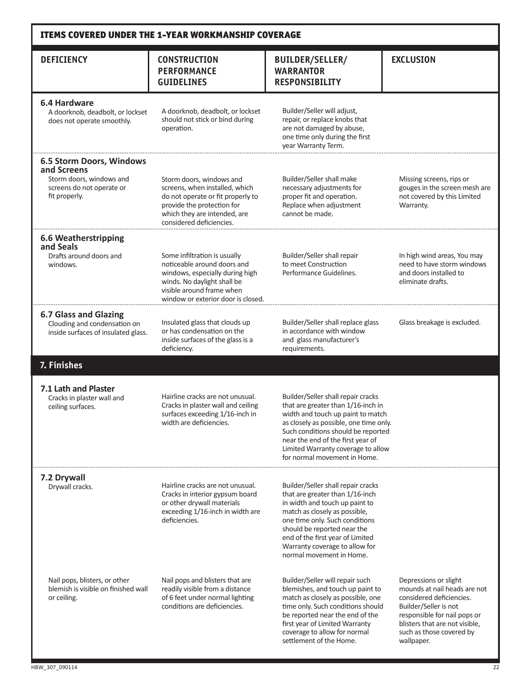| <b>ITEMS COVERED UNDER THE 1-YEAR WORKMANSHIP COVERAGE</b>                                                        |                                                                                                                                                                                                  |                                                                                                                                                                                                                                                                                                             |                                                                                                                                                                                                                        |
|-------------------------------------------------------------------------------------------------------------------|--------------------------------------------------------------------------------------------------------------------------------------------------------------------------------------------------|-------------------------------------------------------------------------------------------------------------------------------------------------------------------------------------------------------------------------------------------------------------------------------------------------------------|------------------------------------------------------------------------------------------------------------------------------------------------------------------------------------------------------------------------|
| <b>DEFICIENCY</b>                                                                                                 | <b>CONSTRUCTION</b><br><b>PERFORMANCE</b><br><b>GUIDELINES</b>                                                                                                                                   | <b>BUILDER/SELLER/</b><br><b>WARRANTOR</b><br><b>RESPONSIBILITY</b>                                                                                                                                                                                                                                         | <b>EXCLUSION</b>                                                                                                                                                                                                       |
| <b>6.4 Hardware</b><br>A doorknob, deadbolt, or lockset<br>does not operate smoothly.                             | A doorknob, deadbolt, or lockset<br>should not stick or bind during<br>operation.                                                                                                                | Builder/Seller will adjust,<br>repair, or replace knobs that<br>are not damaged by abuse,<br>one time only during the first<br>year Warranty Term.                                                                                                                                                          |                                                                                                                                                                                                                        |
| 6.5 Storm Doors, Windows<br>and Screens<br>Storm doors, windows and<br>screens do not operate or<br>fit properly. | Storm doors, windows and<br>screens, when installed, which<br>do not operate or fit properly to<br>provide the protection for<br>which they are intended, are<br>considered deficiencies.        | Builder/Seller shall make<br>necessary adjustments for<br>proper fit and operation.<br>Replace when adjustment<br>cannot be made.                                                                                                                                                                           | Missing screens, rips or<br>gouges in the screen mesh are<br>not covered by this Limited<br>Warranty.                                                                                                                  |
| <b>6.6 Weatherstripping</b><br>and Seals<br>Drafts around doors and<br>windows.                                   | Some infiltration is usually<br>noticeable around doors and<br>windows, especially during high<br>winds. No daylight shall be<br>visible around frame when<br>window or exterior door is closed. | Builder/Seller shall repair<br>to meet Construction<br>Performance Guidelines.                                                                                                                                                                                                                              | In high wind areas, You may<br>need to have storm windows<br>and doors installed to<br>eliminate drafts.                                                                                                               |
| <b>6.7 Glass and Glazing</b><br>Clouding and condensation on<br>inside surfaces of insulated glass.               | Insulated glass that clouds up<br>or has condensation on the<br>inside surfaces of the glass is a<br>deficiency.                                                                                 | Builder/Seller shall replace glass<br>in accordance with window<br>and glass manufacturer's<br>requirements.                                                                                                                                                                                                | Glass breakage is excluded.                                                                                                                                                                                            |
| 7. Finishes                                                                                                       |                                                                                                                                                                                                  |                                                                                                                                                                                                                                                                                                             |                                                                                                                                                                                                                        |
| 7.1 Lath and Plaster<br>Cracks in plaster wall and<br>ceiling surfaces.                                           | Hairline cracks are not unusual.<br>Cracks in plaster wall and ceiling<br>surfaces exceeding 1/16-inch in<br>width are deficiencies.                                                             | Builder/Seller shall repair cracks<br>that are greater than 1/16-inch in<br>width and touch up paint to match<br>as closely as possible, one time only.<br>Such conditions should be reported<br>near the end of the first year of<br>Limited Warranty coverage to allow<br>for normal movement in Home.    |                                                                                                                                                                                                                        |
| 7.2 Drywall<br>Drywall cracks.                                                                                    | Hairline cracks are not unusual.<br>Cracks in interior gypsum board<br>or other drywall materials<br>exceeding 1/16-inch in width are<br>deficiencies.                                           | Builder/Seller shall repair cracks<br>that are greater than 1/16-inch<br>in width and touch up paint to<br>match as closely as possible,<br>one time only. Such conditions<br>should be reported near the<br>end of the first year of Limited<br>Warranty coverage to allow for<br>normal movement in Home. |                                                                                                                                                                                                                        |
| Nail pops, blisters, or other<br>blemish is visible on finished wall<br>or ceiling.                               | Nail pops and blisters that are<br>readily visible from a distance<br>of 6 feet under normal lighting<br>conditions are deficiencies.                                                            | Builder/Seller will repair such<br>blemishes, and touch up paint to<br>match as closely as possible, one<br>time only. Such conditions should<br>be reported near the end of the<br>first year of Limited Warranty<br>coverage to allow for normal<br>settlement of the Home.                               | Depressions or slight<br>mounds at nail heads are not<br>considered deficiencies.<br>Builder/Seller is not<br>responsible for nail pops or<br>blisters that are not visible,<br>such as those covered by<br>wallpaper. |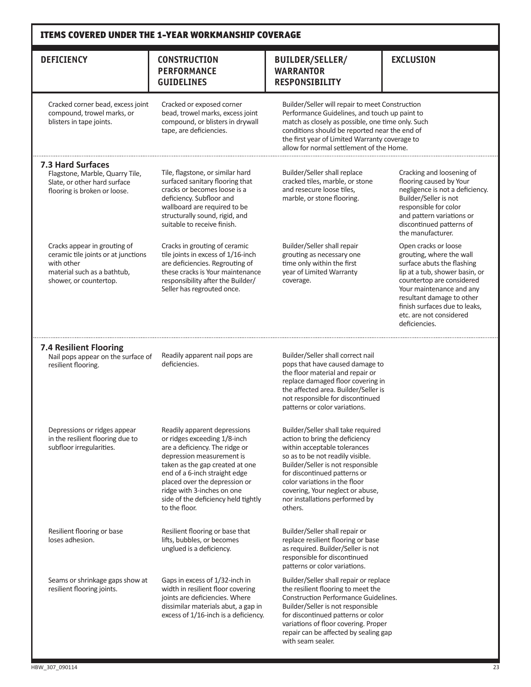| <b>ITEMS COVERED UNDER THE 1-YEAR WORKMANSHIP COVERAGE</b>                                                                                 |                                                                                                                                                                                                                                                                                                                        |                                                                                                                                                                                                                                                                                                                                 |                                                                                                                                                                                                                                                                                     |
|--------------------------------------------------------------------------------------------------------------------------------------------|------------------------------------------------------------------------------------------------------------------------------------------------------------------------------------------------------------------------------------------------------------------------------------------------------------------------|---------------------------------------------------------------------------------------------------------------------------------------------------------------------------------------------------------------------------------------------------------------------------------------------------------------------------------|-------------------------------------------------------------------------------------------------------------------------------------------------------------------------------------------------------------------------------------------------------------------------------------|
| <b>DEFICIENCY</b>                                                                                                                          | <b>CONSTRUCTION</b><br><b>PERFORMANCE</b><br><b>GUIDELINES</b>                                                                                                                                                                                                                                                         | <b>BUILDER/SELLER/</b><br><b>WARRANTOR</b><br><b>RESPONSIBILITY</b>                                                                                                                                                                                                                                                             | <b>EXCLUSION</b>                                                                                                                                                                                                                                                                    |
| Cracked corner bead, excess joint<br>compound, trowel marks, or<br>blisters in tape joints.                                                | Cracked or exposed corner<br>bead, trowel marks, excess joint<br>compound, or blisters in drywall<br>tape, are deficiencies.                                                                                                                                                                                           | Builder/Seller will repair to meet Construction<br>Performance Guidelines, and touch up paint to<br>match as closely as possible, one time only. Such<br>conditions should be reported near the end of<br>the first year of Limited Warranty coverage to<br>allow for normal settlement of the Home.                            |                                                                                                                                                                                                                                                                                     |
| <b>7.3 Hard Surfaces</b><br>Flagstone, Marble, Quarry Tile,<br>Slate, or other hard surface<br>flooring is broken or loose.                | Tile, flagstone, or similar hard<br>surfaced sanitary flooring that<br>cracks or becomes loose is a<br>deficiency. Subfloor and<br>wallboard are required to be<br>structurally sound, rigid, and<br>suitable to receive finish.                                                                                       | Builder/Seller shall replace<br>cracked tiles, marble, or stone<br>and resecure loose tiles,<br>marble, or stone flooring.                                                                                                                                                                                                      | Cracking and loosening of<br>flooring caused by Your<br>negligence is not a deficiency.<br>Builder/Seller is not<br>responsible for color<br>and pattern variations or<br>discontinued patterns of<br>the manufacturer.                                                             |
| Cracks appear in grouting of<br>ceramic tile joints or at junctions<br>with other<br>material such as a bathtub,<br>shower, or countertop. | Cracks in grouting of ceramic<br>tile joints in excess of 1/16-inch<br>are deficiencies. Regrouting of<br>these cracks is Your maintenance<br>responsibility after the Builder/<br>Seller has regrouted once.                                                                                                          | Builder/Seller shall repair<br>grouting as necessary one<br>time only within the first<br>year of Limited Warranty<br>coverage.                                                                                                                                                                                                 | Open cracks or loose<br>grouting, where the wall<br>surface abuts the flashing<br>lip at a tub, shower basin, or<br>countertop are considered<br>Your maintenance and any<br>resultant damage to other<br>finish surfaces due to leaks,<br>etc. are not considered<br>deficiencies. |
| <b>7.4 Resilient Flooring</b><br>Nail pops appear on the surface of<br>resilient flooring.                                                 | Readily apparent nail pops are<br>deficiencies.                                                                                                                                                                                                                                                                        | Builder/Seller shall correct nail<br>pops that have caused damage to<br>the floor material and repair or<br>replace damaged floor covering in<br>the affected area. Builder/Seller is<br>not responsible for discontinued<br>patterns or color variations.                                                                      |                                                                                                                                                                                                                                                                                     |
| Depressions or ridges appear<br>in the resilient flooring due to<br>subfloor irregularities.                                               | Readily apparent depressions<br>or ridges exceeding 1/8-inch<br>are a deficiency. The ridge or<br>depression measurement is<br>taken as the gap created at one<br>end of a 6-inch straight edge<br>placed over the depression or<br>ridge with 3-inches on one<br>side of the deficiency held tightly<br>to the floor. | Builder/Seller shall take required<br>action to bring the deficiency<br>within acceptable tolerances<br>so as to be not readily visible.<br>Builder/Seller is not responsible<br>for discontinued patterns or<br>color variations in the floor<br>covering, Your neglect or abuse,<br>nor installations performed by<br>others. |                                                                                                                                                                                                                                                                                     |
| Resilient flooring or base<br>loses adhesion.                                                                                              | Resilient flooring or base that<br>lifts, bubbles, or becomes<br>unglued is a deficiency.                                                                                                                                                                                                                              | Builder/Seller shall repair or<br>replace resilient flooring or base<br>as required. Builder/Seller is not<br>responsible for discontinued<br>patterns or color variations.                                                                                                                                                     |                                                                                                                                                                                                                                                                                     |
| Seams or shrinkage gaps show at<br>resilient flooring joints.                                                                              | Gaps in excess of 1/32-inch in<br>width in resilient floor covering<br>joints are deficiencies. Where<br>dissimilar materials abut, a gap in<br>excess of 1/16-inch is a deficiency.                                                                                                                                   | Builder/Seller shall repair or replace<br>the resilient flooring to meet the<br>Construction Performance Guidelines.<br>Builder/Seller is not responsible<br>for discontinued patterns or color<br>variations of floor covering. Proper<br>repair can be affected by sealing gap<br>with seam sealer.                           |                                                                                                                                                                                                                                                                                     |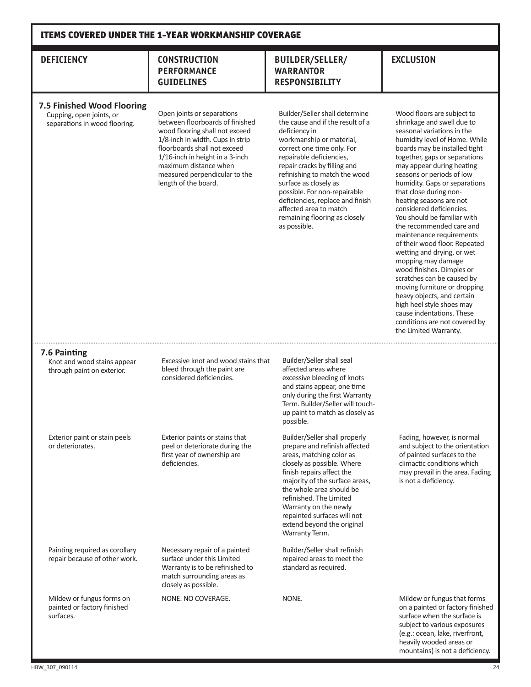#### ITEMS COVERED UNDER THE 1-YEAR WORKMANSHIP COVERAGE

#### **DEFICIENCY CONSTRUCTION PERFORMANCE GUIDELINES**

#### **BUILDER/SELLER/ WARRANTOR RESPONSIBILITY**

#### **EXCLUSION**

**7.5 Finished Wood Flooring**

Cupping, open joints, or separations in wood flooring.

Open joints or separations between floorboards of finished wood flooring shall not exceed 1/8-inch in width. Cups in strip floorboards shall not exceed 1/16-inch in height in a 3-inch maximum distance when measured perpendicular to the length of the board.

Builder/Seller shall determine the cause and if the result of a deficiency in workmanship or material, correct one time only. For repairable deficiencies, repair cracks by filling and refinishing to match the wood surface as closely as possible. For non-repairable deficiencies, replace and finish affected area to match remaining flooring as closely as possible.

Wood floors are subject to shrinkage and swell due to seasonal variations in the humidity level of Home. While boards may be installed tight together, gaps or separations may appear during heating seasons or periods of low humidity. Gaps or separations that close during nonheating seasons are not considered deficiencies. You should be familiar with the recommended care and maintenance requirements of their wood floor. Repeated wetting and drying, or wet mopping may damage wood finishes. Dimples or scratches can be caused by moving furniture or dropping heavy objects, and certain high heel style shoes may cause indentations. These conditions are not covered by the Limited Warranty.

#### **7.6 Painting**

Knot and wood stains appear through paint on exterior.

Excessive knot and wood stains that bleed through the paint are considered deficiencies.

Exterior paint or stain peels or deteriorates.

Exterior paints or stains that peel or deteriorate during the first year of ownership are deficiencies.

Painting required as corollary repair because of other work.

Mildew or fungus forms on painted or factory finished surfaces.

Necessary repair of a painted surface under this Limited Warranty is to be refinished to match surrounding areas as closely as possible.

NONE. NO COVERAGE.

Builder/Seller shall seal affected areas where excessive bleeding of knots and stains appear, one time only during the first Warranty Term. Builder/Seller will touchup paint to match as closely as possible.

Builder/Seller shall properly prepare and refinish affected areas, matching color as closely as possible. Where finish repairs affect the majority of the surface areas, the whole area should be refinished. The Limited Warranty on the newly repainted surfaces will not extend beyond the original Warranty Term.

Builder/Seller shall refinish repaired areas to meet the standard as required.

NONE.

Fading, however, is normal and subject to the orientation of painted surfaces to the climactic conditions which may prevail in the area. Fading is not a deficiency.

Mildew or fungus that forms on a painted or factory finished surface when the surface is subject to various exposures (e.g.: ocean, lake, riverfront, heavily wooded areas or mountains) is not a deficiency.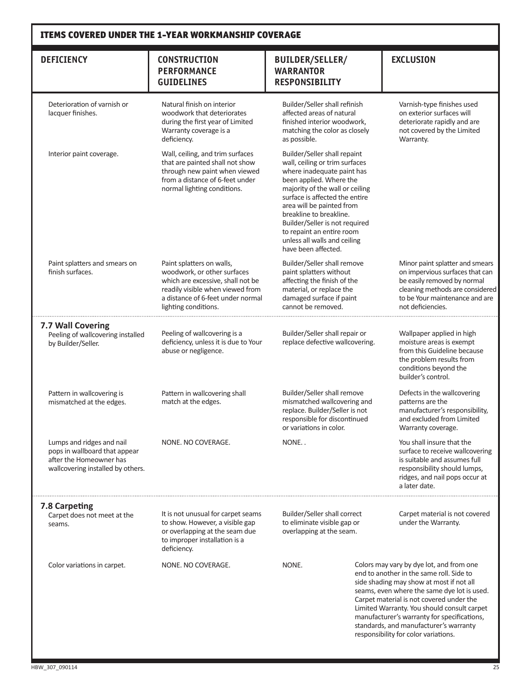| <b>ITEMS COVERED UNDER THE 1-YEAR WORKMANSHIP COVERAGE</b>                                                                 |                                                                                                                                                                                                |                                                                                                                                                                                                                                                                                                                                                                            |                                                                                                                                                                                                                                                                                                                                                                                                             |
|----------------------------------------------------------------------------------------------------------------------------|------------------------------------------------------------------------------------------------------------------------------------------------------------------------------------------------|----------------------------------------------------------------------------------------------------------------------------------------------------------------------------------------------------------------------------------------------------------------------------------------------------------------------------------------------------------------------------|-------------------------------------------------------------------------------------------------------------------------------------------------------------------------------------------------------------------------------------------------------------------------------------------------------------------------------------------------------------------------------------------------------------|
| <b>DEFICIENCY</b>                                                                                                          | <b>CONSTRUCTION</b><br><b>PERFORMANCE</b><br><b>GUIDELINES</b>                                                                                                                                 | <b>BUILDER/SELLER/</b><br><b>WARRANTOR</b><br><b>RESPONSIBILITY</b>                                                                                                                                                                                                                                                                                                        | <b>EXCLUSION</b>                                                                                                                                                                                                                                                                                                                                                                                            |
| Deterioration of varnish or<br>lacquer finishes.                                                                           | Natural finish on interior<br>woodwork that deteriorates<br>during the first year of Limited<br>Warranty coverage is a<br>deficiency.                                                          | Builder/Seller shall refinish<br>affected areas of natural<br>finished interior woodwork,<br>matching the color as closely<br>as possible.                                                                                                                                                                                                                                 | Varnish-type finishes used<br>on exterior surfaces will<br>deteriorate rapidly and are<br>not covered by the Limited<br>Warranty.                                                                                                                                                                                                                                                                           |
| Interior paint coverage.                                                                                                   | Wall, ceiling, and trim surfaces<br>that are painted shall not show<br>through new paint when viewed<br>from a distance of 6-feet under<br>normal lighting conditions.                         | Builder/Seller shall repaint<br>wall, ceiling or trim surfaces<br>where inadequate paint has<br>been applied. Where the<br>majority of the wall or ceiling<br>surface is affected the entire<br>area will be painted from<br>breakline to breakline.<br>Builder/Seller is not required<br>to repaint an entire room<br>unless all walls and ceiling<br>have been affected. |                                                                                                                                                                                                                                                                                                                                                                                                             |
| Paint splatters and smears on<br>finish surfaces.                                                                          | Paint splatters on walls,<br>woodwork, or other surfaces<br>which are excessive, shall not be<br>readily visible when viewed from<br>a distance of 6-feet under normal<br>lighting conditions. | Builder/Seller shall remove<br>paint splatters without<br>affecting the finish of the<br>material, or replace the<br>damaged surface if paint<br>cannot be removed.                                                                                                                                                                                                        | Minor paint splatter and smears<br>on impervious surfaces that can<br>be easily removed by normal<br>cleaning methods are considered<br>to be Your maintenance and are<br>not deficiencies.                                                                                                                                                                                                                 |
| 7.7 Wall Covering<br>Peeling of wallcovering installed<br>by Builder/Seller.                                               | Peeling of wallcovering is a<br>deficiency, unless it is due to Your<br>abuse or negligence.                                                                                                   | Builder/Seller shall repair or<br>replace defective wallcovering.                                                                                                                                                                                                                                                                                                          | Wallpaper applied in high<br>moisture areas is exempt<br>from this Guideline because<br>the problem results from<br>conditions beyond the<br>builder's control.                                                                                                                                                                                                                                             |
| Pattern in wallcovering is<br>mismatched at the edges.                                                                     | Pattern in wallcovering shall<br>match at the edges.                                                                                                                                           | Builder/Seller shall remove<br>mismatched wallcovering and<br>replace. Builder/Seller is not<br>responsible for discontinued<br>or variations in color.                                                                                                                                                                                                                    | Defects in the wallcovering<br>patterns are the<br>manufacturer's responsibility,<br>and excluded from Limited<br>Warranty coverage.                                                                                                                                                                                                                                                                        |
| Lumps and ridges and nail<br>pops in wallboard that appear<br>after the Homeowner has<br>wallcovering installed by others. | NONE. NO COVERAGE.                                                                                                                                                                             | NONE                                                                                                                                                                                                                                                                                                                                                                       | You shall insure that the<br>surface to receive wallcovering<br>is suitable and assumes full<br>responsibility should lumps,<br>ridges, and nail pops occur at<br>a later date.                                                                                                                                                                                                                             |
| 7.8 Carpeting<br>Carpet does not meet at the<br>seams.                                                                     | It is not unusual for carpet seams<br>to show. However, a visible gap<br>or overlapping at the seam due<br>to improper installation is a<br>deficiency.                                        | Builder/Seller shall correct<br>to eliminate visible gap or<br>overlapping at the seam.                                                                                                                                                                                                                                                                                    | Carpet material is not covered<br>under the Warranty.                                                                                                                                                                                                                                                                                                                                                       |
| Color variations in carpet.                                                                                                | NONE. NO COVERAGE.                                                                                                                                                                             | NONE.                                                                                                                                                                                                                                                                                                                                                                      | Colors may vary by dye lot, and from one<br>end to another in the same roll. Side to<br>side shading may show at most if not all<br>seams, even where the same dye lot is used.<br>Carpet material is not covered under the<br>Limited Warranty. You should consult carpet<br>manufacturer's warranty for specifications,<br>standards, and manufacturer's warranty<br>responsibility for color variations. |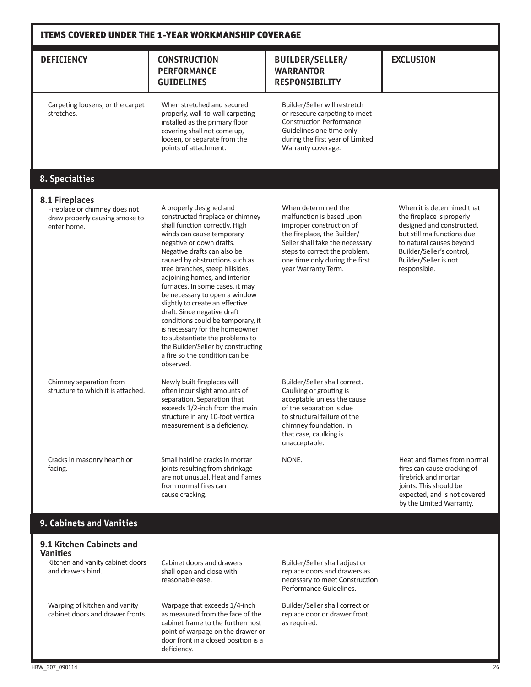| <b>DEFICIENCY</b>                                                                                | <b>CONSTRUCTION</b><br><b>PERFORMANCE</b><br><b>GUIDELINES</b>                                                                                                                                                                                                                                                                                                                                                                                                                                                                                                                                                                   | <b>BUILDER/SELLER/</b><br><b>WARRANTOR</b><br><b>RESPONSIBILITY</b>                                                                                                                                                                      | <b>EXCLUSION</b>                                                                                                                                                                                                     |
|--------------------------------------------------------------------------------------------------|----------------------------------------------------------------------------------------------------------------------------------------------------------------------------------------------------------------------------------------------------------------------------------------------------------------------------------------------------------------------------------------------------------------------------------------------------------------------------------------------------------------------------------------------------------------------------------------------------------------------------------|------------------------------------------------------------------------------------------------------------------------------------------------------------------------------------------------------------------------------------------|----------------------------------------------------------------------------------------------------------------------------------------------------------------------------------------------------------------------|
| Carpeting loosens, or the carpet<br>stretches.                                                   | When stretched and secured<br>properly, wall-to-wall carpeting<br>installed as the primary floor<br>covering shall not come up,<br>loosen, or separate from the<br>points of attachment.                                                                                                                                                                                                                                                                                                                                                                                                                                         | Builder/Seller will restretch<br>or resecure carpeting to meet<br><b>Construction Performance</b><br>Guidelines one time only<br>during the first year of Limited<br>Warranty coverage.                                                  |                                                                                                                                                                                                                      |
| 8. Specialties                                                                                   |                                                                                                                                                                                                                                                                                                                                                                                                                                                                                                                                                                                                                                  |                                                                                                                                                                                                                                          |                                                                                                                                                                                                                      |
| 8.1 Fireplaces<br>Fireplace or chimney does not<br>draw properly causing smoke to<br>enter home. | A properly designed and<br>constructed fireplace or chimney<br>shall function correctly. High<br>winds can cause temporary<br>negative or down drafts.<br>Negative drafts can also be<br>caused by obstructions such as<br>tree branches, steep hillsides,<br>adjoining homes, and interior<br>furnaces. In some cases, it may<br>be necessary to open a window<br>slightly to create an effective<br>draft. Since negative draft<br>conditions could be temporary, it<br>is necessary for the homeowner<br>to substantiate the problems to<br>the Builder/Seller by constructing<br>a fire so the condition can be<br>observed. | When determined the<br>malfunction is based upon<br>improper construction of<br>the fireplace, the Builder/<br>Seller shall take the necessary<br>steps to correct the problem,<br>one time only during the first<br>year Warranty Term. | When it is determined that<br>the fireplace is properly<br>designed and constructed,<br>but still malfunctions due<br>to natural causes beyond<br>Builder/Seller's control,<br>Builder/Seller is not<br>responsible. |
| Chimney separation from<br>structure to which it is attached.                                    | Newly built fireplaces will<br>often incur slight amounts of<br>separation. Separation that<br>exceeds 1/2-inch from the main<br>structure in any 10-foot vertical<br>measurement is a deficiency.                                                                                                                                                                                                                                                                                                                                                                                                                               | Builder/Seller shall correct.<br>Caulking or grouting is<br>acceptable unless the cause<br>of the separation is due<br>to structural failure of the<br>chimney foundation. In<br>that case, caulking is<br>unacceptable.                 |                                                                                                                                                                                                                      |
| Cracks in masonry hearth or<br>facing.                                                           | Small hairline cracks in mortar<br>joints resulting from shrinkage<br>are not unusual. Heat and flames<br>from normal fires can<br>cause cracking.                                                                                                                                                                                                                                                                                                                                                                                                                                                                               | NONE.                                                                                                                                                                                                                                    | Heat and flames from normal<br>fires can cause cracking of<br>firebrick and mortar<br>joints. This should be<br>expected, and is not covered<br>by the Limited Warranty.                                             |
| 9. Cabinets and Vanities                                                                         |                                                                                                                                                                                                                                                                                                                                                                                                                                                                                                                                                                                                                                  |                                                                                                                                                                                                                                          |                                                                                                                                                                                                                      |
| 9.1 Kitchen Cabinets and<br><b>Vanities</b>                                                      |                                                                                                                                                                                                                                                                                                                                                                                                                                                                                                                                                                                                                                  |                                                                                                                                                                                                                                          |                                                                                                                                                                                                                      |
| Kitchen and vanity cabinet doors<br>and drawers bind.                                            | Cabinet doors and drawers<br>shall open and close with                                                                                                                                                                                                                                                                                                                                                                                                                                                                                                                                                                           | Builder/Seller shall adjust or<br>replace doors and drawers as                                                                                                                                                                           |                                                                                                                                                                                                                      |

Warping of kitchen and vanity cabinet doors and drawer fronts. reasonable ease.

Warpage that exceeds 1/4-inch as measured from the face of the cabinet frame to the furthermost point of warpage on the drawer or door front in a closed position is a deficiency.

necessary to meet Construction Performance Guidelines.

Builder/Seller shall correct or replace door or drawer front as required.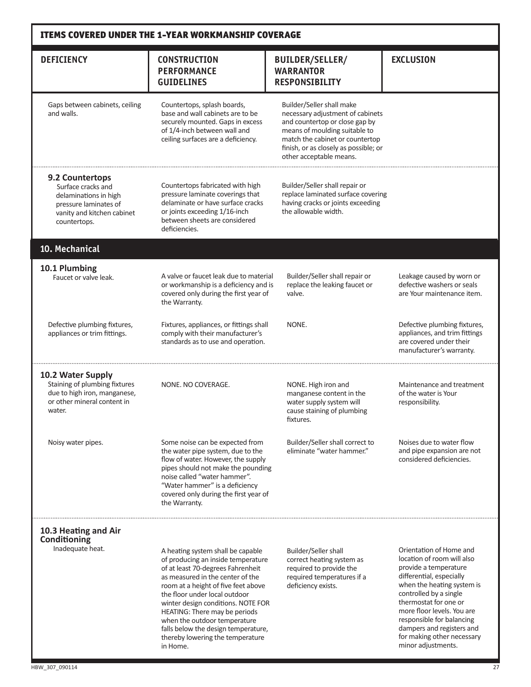| <b>DEFICIENCY</b>                                                                                                                     | <b>CONSTRUCTION</b><br><b>PERFORMANCE</b><br><b>GUIDELINES</b>                                                                                                                                                                                                                                                                              | <b>BUILDER/SELLER/</b><br><b>WARRANTOR</b><br><b>RESPONSIBILITY</b>                                                                                                                                                                     | <b>EXCLUSION</b>                                                                                                                                                                                                                                                               |
|---------------------------------------------------------------------------------------------------------------------------------------|---------------------------------------------------------------------------------------------------------------------------------------------------------------------------------------------------------------------------------------------------------------------------------------------------------------------------------------------|-----------------------------------------------------------------------------------------------------------------------------------------------------------------------------------------------------------------------------------------|--------------------------------------------------------------------------------------------------------------------------------------------------------------------------------------------------------------------------------------------------------------------------------|
| Gaps between cabinets, ceiling<br>and walls.                                                                                          | Countertops, splash boards,<br>base and wall cabinets are to be<br>securely mounted. Gaps in excess<br>of 1/4-inch between wall and<br>ceiling surfaces are a deficiency.                                                                                                                                                                   | Builder/Seller shall make<br>necessary adjustment of cabinets<br>and countertop or close gap by<br>means of moulding suitable to<br>match the cabinet or countertop<br>finish, or as closely as possible; or<br>other acceptable means. |                                                                                                                                                                                                                                                                                |
| 9.2 Countertops<br>Surface cracks and<br>delaminations in high<br>pressure laminates of<br>vanity and kitchen cabinet<br>countertops. | Countertops fabricated with high<br>pressure laminate coverings that<br>delaminate or have surface cracks<br>or joints exceeding 1/16-inch<br>between sheets are considered<br>deficiencies.                                                                                                                                                | Builder/Seller shall repair or<br>replace laminated surface covering<br>having cracks or joints exceeding<br>the allowable width.                                                                                                       |                                                                                                                                                                                                                                                                                |
| 10. Mechanical                                                                                                                        |                                                                                                                                                                                                                                                                                                                                             |                                                                                                                                                                                                                                         |                                                                                                                                                                                                                                                                                |
| 10.1 Plumbing<br>Faucet or valve leak.                                                                                                | A valve or faucet leak due to material<br>or workmanship is a deficiency and is<br>covered only during the first year of<br>the Warranty.                                                                                                                                                                                                   | Builder/Seller shall repair or<br>replace the leaking faucet or<br>valve.                                                                                                                                                               | Leakage caused by worn or<br>defective washers or seals<br>are Your maintenance item.                                                                                                                                                                                          |
| Defective plumbing fixtures,<br>appliances or trim fittings.                                                                          | Fixtures, appliances, or fittings shall<br>comply with their manufacturer's<br>standards as to use and operation.                                                                                                                                                                                                                           | NONE.                                                                                                                                                                                                                                   | Defective plumbing fixtures,<br>appliances, and trim fittings<br>are covered under their<br>manufacturer's warranty.                                                                                                                                                           |
| 10.2 Water Supply<br>Staining of plumbing fixtures<br>due to high iron, manganese,<br>or other mineral content in<br>water.           | NONE. NO COVERAGE.                                                                                                                                                                                                                                                                                                                          | NONE. High iron and<br>manganese content in the<br>water supply system will<br>cause staining of plumbing<br>fixtures.                                                                                                                  | Maintenance and treatment<br>of the water is Your<br>responsibility.                                                                                                                                                                                                           |
| Noisy water pipes.                                                                                                                    | Some noise can be expected from<br>the water pipe system, due to the<br>flow of water. However, the supply<br>pipes should not make the pounding<br>noise called "water hammer".<br>"Water hammer" is a deficiency<br>covered only during the first year of<br>the Warranty.                                                                | Builder/Seller shall correct to<br>eliminate "water hammer."                                                                                                                                                                            | Noises due to water flow<br>and pipe expansion are not<br>considered deficiencies.                                                                                                                                                                                             |
| 10.3 Heating and Air<br>Conditioning<br>Inadequate heat.                                                                              | A heating system shall be capable<br>of producing an inside temperature                                                                                                                                                                                                                                                                     | Builder/Seller shall<br>correct heating system as                                                                                                                                                                                       | Orientation of Home and<br>location of room will also                                                                                                                                                                                                                          |
|                                                                                                                                       | of at least 70-degrees Fahrenheit<br>as measured in the center of the<br>room at a height of five feet above<br>the floor under local outdoor<br>winter design conditions. NOTE FOR<br>HEATING: There may be periods<br>when the outdoor temperature<br>falls below the design temperature,<br>thereby lowering the temperature<br>in Home. | required to provide the<br>required temperatures if a<br>deficiency exists.                                                                                                                                                             | provide a temperature<br>differential, especially<br>when the heating system is<br>controlled by a single<br>thermostat for one or<br>more floor levels. You are<br>responsible for balancing<br>dampers and registers and<br>for making other necessary<br>minor adjustments. |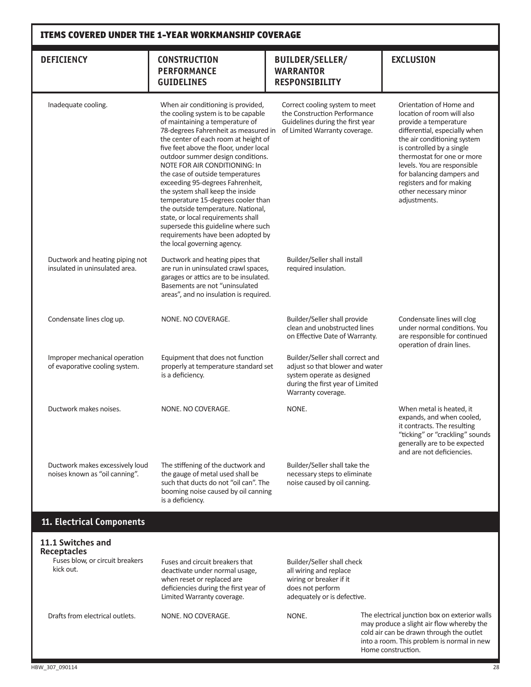| <b>ITEMS COVERED UNDER THE 1-YEAR WORKMANSHIP COVERAGE</b>                              |                                                                                                                                                                                                                                                                                                                                                                                                                                                                                                                                                                                                                                                       |                                                                                                                                                             |                                                                                                                                                                                                                                                                                                                                            |
|-----------------------------------------------------------------------------------------|-------------------------------------------------------------------------------------------------------------------------------------------------------------------------------------------------------------------------------------------------------------------------------------------------------------------------------------------------------------------------------------------------------------------------------------------------------------------------------------------------------------------------------------------------------------------------------------------------------------------------------------------------------|-------------------------------------------------------------------------------------------------------------------------------------------------------------|--------------------------------------------------------------------------------------------------------------------------------------------------------------------------------------------------------------------------------------------------------------------------------------------------------------------------------------------|
| <b>DEFICIENCY</b>                                                                       | <b>CONSTRUCTION</b><br><b>PERFORMANCE</b><br><b>GUIDELINES</b>                                                                                                                                                                                                                                                                                                                                                                                                                                                                                                                                                                                        | <b>BUILDER/SELLER/</b><br><b>WARRANTOR</b><br><b>RESPONSIBILITY</b>                                                                                         | <b>EXCLUSION</b>                                                                                                                                                                                                                                                                                                                           |
| Inadequate cooling.                                                                     | When air conditioning is provided,<br>the cooling system is to be capable<br>of maintaining a temperature of<br>78-degrees Fahrenheit as measured in<br>the center of each room at height of<br>five feet above the floor, under local<br>outdoor summer design conditions.<br>NOTE FOR AIR CONDITIONING: In<br>the case of outside temperatures<br>exceeding 95-degrees Fahrenheit,<br>the system shall keep the inside<br>temperature 15-degrees cooler than<br>the outside temperature. National,<br>state, or local requirements shall<br>supersede this guideline where such<br>requirements have been adopted by<br>the local governing agency. | Correct cooling system to meet<br>the Construction Performance<br>Guidelines during the first year<br>of Limited Warranty coverage.                         | Orientation of Home and<br>location of room will also<br>provide a temperature<br>differential, especially when<br>the air conditioning system<br>is controlled by a single<br>thermostat for one or more<br>levels. You are responsible<br>for balancing dampers and<br>registers and for making<br>other necessary minor<br>adjustments. |
| Ductwork and heating piping not<br>insulated in uninsulated area.                       | Ductwork and heating pipes that<br>are run in uninsulated crawl spaces,<br>garages or attics are to be insulated.<br>Basements are not "uninsulated<br>areas", and no insulation is required.                                                                                                                                                                                                                                                                                                                                                                                                                                                         | Builder/Seller shall install<br>required insulation.                                                                                                        |                                                                                                                                                                                                                                                                                                                                            |
| Condensate lines clog up.                                                               | NONE. NO COVERAGE.                                                                                                                                                                                                                                                                                                                                                                                                                                                                                                                                                                                                                                    | Builder/Seller shall provide<br>clean and unobstructed lines<br>on Effective Date of Warranty.                                                              | Condensate lines will clog<br>under normal conditions. You<br>are responsible for continued<br>operation of drain lines.                                                                                                                                                                                                                   |
| Improper mechanical operation<br>of evaporative cooling system.                         | Equipment that does not function<br>properly at temperature standard set<br>is a deficiency.                                                                                                                                                                                                                                                                                                                                                                                                                                                                                                                                                          | Builder/Seller shall correct and<br>adjust so that blower and water<br>system operate as designed<br>during the first year of Limited<br>Warranty coverage. |                                                                                                                                                                                                                                                                                                                                            |
| Ductwork makes noises.                                                                  | NONE. NO COVERAGE.                                                                                                                                                                                                                                                                                                                                                                                                                                                                                                                                                                                                                                    | NONE.                                                                                                                                                       | When metal is heated, it<br>expands, and when cooled,<br>it contracts. The resulting<br>"ticking" or "crackling" sounds<br>generally are to be expected<br>and are not deficiencies.                                                                                                                                                       |
| Ductwork makes excessively loud<br>noises known as "oil canning".                       | The stiffening of the ductwork and<br>the gauge of metal used shall be<br>such that ducts do not "oil can". The<br>booming noise caused by oil canning<br>is a deficiency.                                                                                                                                                                                                                                                                                                                                                                                                                                                                            | Builder/Seller shall take the<br>necessary steps to eliminate<br>noise caused by oil canning.                                                               |                                                                                                                                                                                                                                                                                                                                            |
| 11. Electrical Components                                                               |                                                                                                                                                                                                                                                                                                                                                                                                                                                                                                                                                                                                                                                       |                                                                                                                                                             |                                                                                                                                                                                                                                                                                                                                            |
| 11.1 Switches and<br><b>Receptacles</b><br>Fuses blow, or circuit breakers<br>kick out. | Fuses and circuit breakers that<br>deactivate under normal usage,<br>when reset or replaced are<br>deficiencies during the first year of<br>Limited Warranty coverage.                                                                                                                                                                                                                                                                                                                                                                                                                                                                                | Builder/Seller shall check<br>all wiring and replace<br>wiring or breaker if it<br>does not perform<br>adequately or is defective.                          |                                                                                                                                                                                                                                                                                                                                            |
| Drafts from electrical outlets.                                                         | NONE. NO COVERAGE.                                                                                                                                                                                                                                                                                                                                                                                                                                                                                                                                                                                                                                    | NONE.                                                                                                                                                       | The electrical junction box on exterior walls<br>may produce a slight air flow whereby the<br>cold air can be drawn through the outlet<br>into a room. This problem is normal in new<br>Home construction.                                                                                                                                 |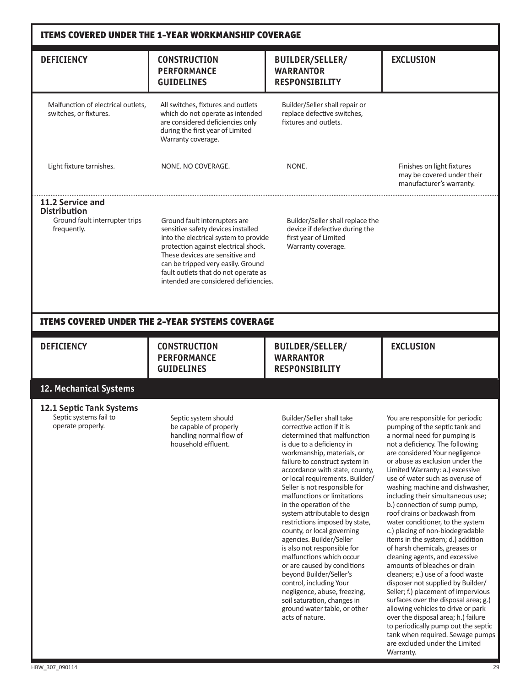|                                                                      | <b>ITEMS COVERED UNDER THE 1-YEAR WORKMANSHIP COVERAGE</b>                                                                                                                                                                                                                                                     |                                                                                                                   |                                                                                      |  |
|----------------------------------------------------------------------|----------------------------------------------------------------------------------------------------------------------------------------------------------------------------------------------------------------------------------------------------------------------------------------------------------------|-------------------------------------------------------------------------------------------------------------------|--------------------------------------------------------------------------------------|--|
| <b>DEFICIENCY</b>                                                    | <b>CONSTRUCTION</b><br><b>PERFORMANCE</b><br><b>GUIDELINES</b>                                                                                                                                                                                                                                                 | <b>BUILDER/SELLER/</b><br><b>WARRANTOR</b><br><b>RESPONSIBILITY</b>                                               | <b>EXCLUSION</b>                                                                     |  |
| Malfunction of electrical outlets,<br>switches, or fixtures.         | All switches, fixtures and outlets<br>which do not operate as intended<br>are considered deficiencies only<br>during the first year of Limited<br>Warranty coverage.                                                                                                                                           | Builder/Seller shall repair or<br>replace defective switches,<br>fixtures and outlets.                            |                                                                                      |  |
| Light fixture tarnishes.                                             | NONE. NO COVERAGE.                                                                                                                                                                                                                                                                                             | NONE.                                                                                                             | Finishes on light fixtures<br>may be covered under their<br>manufacturer's warranty. |  |
| 11.2 Service and                                                     |                                                                                                                                                                                                                                                                                                                |                                                                                                                   |                                                                                      |  |
| <b>Distribution</b><br>Ground fault interrupter trips<br>frequently. | Ground fault interrupters are<br>sensitive safety devices installed<br>into the electrical system to provide<br>protection against electrical shock.<br>These devices are sensitive and<br>can be tripped very easily. Ground<br>fault outlets that do not operate as<br>intended are considered deficiencies. | Builder/Seller shall replace the<br>device if defective during the<br>first year of Limited<br>Warranty coverage. |                                                                                      |  |
|                                                                      | <b>ITEMS COVERED UNDER THE 2-YEAR SYSTEMS COVERAGE</b>                                                                                                                                                                                                                                                         |                                                                                                                   |                                                                                      |  |
| <b>DEFICIENCY</b>                                                    | <b>CONSTRUCTION</b><br><b>PERFORMANCE</b>                                                                                                                                                                                                                                                                      | <b>BUILDER/SELLER/</b><br><b>WARRANTOR</b>                                                                        | <b>EXCLUSION</b>                                                                     |  |
|                                                                      | <b>GUIDELINES</b>                                                                                                                                                                                                                                                                                              | <b>RESPONSIBILITY</b>                                                                                             |                                                                                      |  |
| 12. Mechanical Systems                                               |                                                                                                                                                                                                                                                                                                                |                                                                                                                   |                                                                                      |  |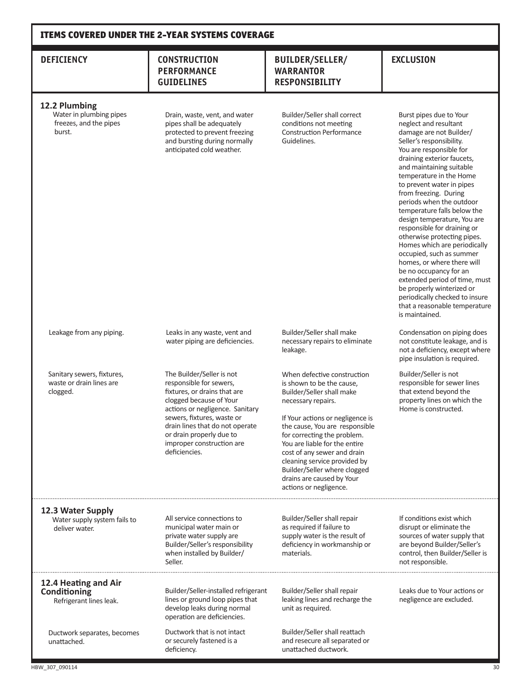| <b>ITEMS COVERED UNDER THE 2-YEAR SYSTEMS COVERAGE</b>                       |                                                                                                                                                                                                                                                                                               |                                                                                                                                                                                                                                                                                                                                                                                                         |                                                                                                                                                                                                                                                                                                                                                                                                                                                                                                                                                                                                                                                                                                              |
|------------------------------------------------------------------------------|-----------------------------------------------------------------------------------------------------------------------------------------------------------------------------------------------------------------------------------------------------------------------------------------------|---------------------------------------------------------------------------------------------------------------------------------------------------------------------------------------------------------------------------------------------------------------------------------------------------------------------------------------------------------------------------------------------------------|--------------------------------------------------------------------------------------------------------------------------------------------------------------------------------------------------------------------------------------------------------------------------------------------------------------------------------------------------------------------------------------------------------------------------------------------------------------------------------------------------------------------------------------------------------------------------------------------------------------------------------------------------------------------------------------------------------------|
| <b>DEFICIENCY</b>                                                            | <b>CONSTRUCTION</b><br><b>PERFORMANCE</b><br><b>GUIDELINES</b>                                                                                                                                                                                                                                | <b>BUILDER/SELLER/</b><br><b>WARRANTOR</b><br><b>RESPONSIBILITY</b>                                                                                                                                                                                                                                                                                                                                     | <b>EXCLUSION</b>                                                                                                                                                                                                                                                                                                                                                                                                                                                                                                                                                                                                                                                                                             |
| 12.2 Plumbing<br>Water in plumbing pipes<br>freezes, and the pipes<br>burst. | Drain, waste, vent, and water<br>pipes shall be adequately<br>protected to prevent freezing<br>and bursting during normally<br>anticipated cold weather.                                                                                                                                      | Builder/Seller shall correct<br>conditions not meeting<br><b>Construction Performance</b><br>Guidelines.                                                                                                                                                                                                                                                                                                | Burst pipes due to Your<br>neglect and resultant<br>damage are not Builder/<br>Seller's responsibility.<br>You are responsible for<br>draining exterior faucets,<br>and maintaining suitable<br>temperature in the Home<br>to prevent water in pipes<br>from freezing. During<br>periods when the outdoor<br>temperature falls below the<br>design temperature, You are<br>responsible for draining or<br>otherwise protecting pipes.<br>Homes which are periodically<br>occupied, such as summer<br>homes, or where there will<br>be no occupancy for an<br>extended period of time, must<br>be properly winterized or<br>periodically checked to insure<br>that a reasonable temperature<br>is maintained. |
| Leakage from any piping.                                                     | Leaks in any waste, vent and<br>water piping are deficiencies.                                                                                                                                                                                                                                | Builder/Seller shall make<br>necessary repairs to eliminate<br>leakage.                                                                                                                                                                                                                                                                                                                                 | Condensation on piping does<br>not constitute leakage, and is<br>not a deficiency, except where<br>pipe insulation is required.                                                                                                                                                                                                                                                                                                                                                                                                                                                                                                                                                                              |
| Sanitary sewers, fixtures,<br>waste or drain lines are<br>clogged.           | The Builder/Seller is not<br>responsible for sewers,<br>fixtures, or drains that are<br>clogged because of Your<br>actions or negligence. Sanitary<br>sewers, fixtures, waste or<br>drain lines that do not operate<br>or drain properly due to<br>improper construction are<br>deficiencies. | When defective construction<br>is shown to be the cause,<br>Builder/Seller shall make<br>necessary repairs.<br>If Your actions or negligence is<br>the cause, You are responsible<br>for correcting the problem.<br>You are liable for the entire<br>cost of any sewer and drain<br>cleaning service provided by<br>Builder/Seller where clogged<br>drains are caused by Your<br>actions or negligence. | Builder/Seller is not<br>responsible for sewer lines<br>that extend beyond the<br>property lines on which the<br>Home is constructed.                                                                                                                                                                                                                                                                                                                                                                                                                                                                                                                                                                        |
| 12.3 Water Supply<br>Water supply system fails to<br>deliver water.          | All service connections to<br>municipal water main or<br>private water supply are<br>Builder/Seller's responsibility<br>when installed by Builder/<br>Seller.                                                                                                                                 | Builder/Seller shall repair<br>as required if failure to<br>supply water is the result of<br>deficiency in workmanship or<br>materials.                                                                                                                                                                                                                                                                 | If conditions exist which<br>disrupt or eliminate the<br>sources of water supply that<br>are beyond Builder/Seller's<br>control, then Builder/Seller is<br>not responsible.                                                                                                                                                                                                                                                                                                                                                                                                                                                                                                                                  |
| 12.4 Heating and Air<br>Conditioning<br>Refrigerant lines leak.              | Builder/Seller-installed refrigerant<br>lines or ground loop pipes that<br>develop leaks during normal<br>operation are deficiencies.                                                                                                                                                         | Builder/Seller shall repair<br>leaking lines and recharge the<br>unit as required.                                                                                                                                                                                                                                                                                                                      | Leaks due to Your actions or<br>negligence are excluded.                                                                                                                                                                                                                                                                                                                                                                                                                                                                                                                                                                                                                                                     |
| Ductwork separates, becomes<br>unattached.                                   | Ductwork that is not intact<br>or securely fastened is a<br>deficiency.                                                                                                                                                                                                                       | Builder/Seller shall reattach<br>and resecure all separated or<br>unattached ductwork.                                                                                                                                                                                                                                                                                                                  |                                                                                                                                                                                                                                                                                                                                                                                                                                                                                                                                                                                                                                                                                                              |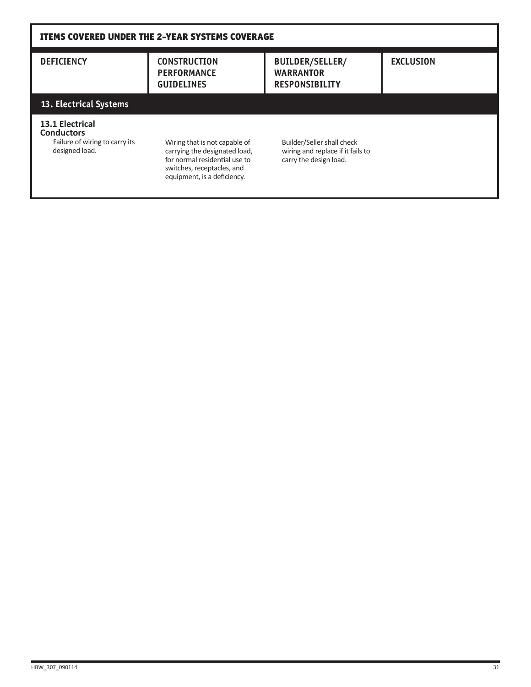| <b>ITEMS COVERED UNDER THE 2-YEAR SYSTEMS COVERAGE</b>                                          |                                                                                                                                                              |                                                                                           |                  |
|-------------------------------------------------------------------------------------------------|--------------------------------------------------------------------------------------------------------------------------------------------------------------|-------------------------------------------------------------------------------------------|------------------|
| <b>DEFICIENCY</b>                                                                               | <b>CONSTRUCTION</b><br><b>PERFORMANCE</b><br><b>GUIDELINES</b>                                                                                               | <b>BUILDER/SELLER/</b><br><b>WARRANTOR</b><br><b>RESPONSIBILITY</b>                       | <b>EXCLUSION</b> |
| 13. Electrical Systems                                                                          |                                                                                                                                                              |                                                                                           |                  |
| <b>13.1 Electrical</b><br><b>Conductors</b><br>Failure of wiring to carry its<br>designed load. | Wiring that is not capable of<br>carrying the designated load,<br>for normal residential use to<br>switches, receptacles, and<br>equipment, is a deficiency. | Builder/Seller shall check<br>wiring and replace if it fails to<br>carry the design load. |                  |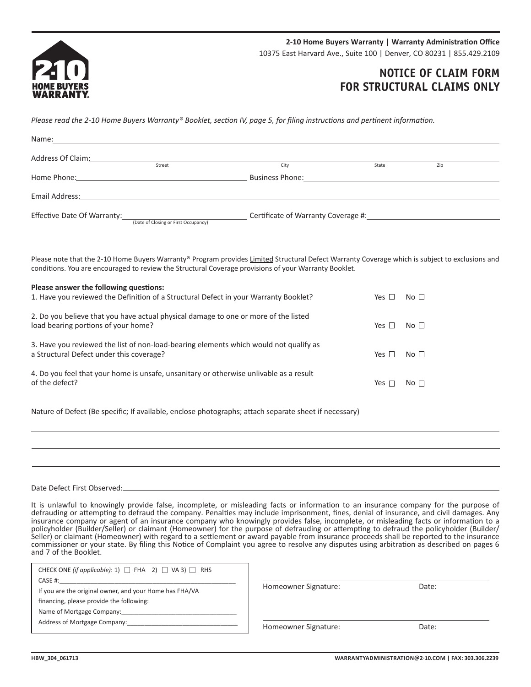**2-10 Home Buyers Warranty | Warranty Administration Office** 10375 East Harvard Ave., Suite 100 | Denver, CO 80231 | 855.429.2109

### **NOTICE OF CLAIM FORM FOR STRUCTURAL CLAIMS ONLY**

*Please read the 2-10 Home Buyers Warranty® Booklet, section IV, page 5, for filing instructions and pertinent information.* 

| Name:                       |                                                           |                                     |       |     |
|-----------------------------|-----------------------------------------------------------|-------------------------------------|-------|-----|
| Address Of Claim:           |                                                           |                                     |       |     |
|                             | Street                                                    | City                                | State | Zip |
| Home Phone:                 |                                                           | <b>Business Phone:</b>              |       |     |
| Email Address:              | <u> 1989 - John Stone, amerikansk politiker (d. 1989)</u> |                                     |       |     |
|                             |                                                           |                                     |       |     |
| Effective Date Of Warranty: | (Date of Closing or First Occupancy)                      | Certificate of Warranty Coverage #: |       |     |
|                             |                                                           |                                     |       |     |

Please note that the 2-10 Home Buyers Warranty® Program provides Limited Structural Defect Warranty Coverage which is subject to exclusions and conditions. You are encouraged to review the Structural Coverage provisions of your Warranty Booklet.

| Please answer the following questions:<br>1. Have you reviewed the Definition of a Structural Defect in your Warranty Booklet?    | Yes $\Box$ | No <sub>1</sub> |
|-----------------------------------------------------------------------------------------------------------------------------------|------------|-----------------|
| 2. Do you believe that you have actual physical damage to one or more of the listed<br>load bearing portions of your home?        | Yes $\Box$ | No <sub>1</sub> |
| 3. Have you reviewed the list of non-load-bearing elements which would not qualify as<br>a Structural Defect under this coverage? | Yes $\Box$ | No <sub>1</sub> |
| 4. Do you feel that your home is unsafe, unsanitary or otherwise unlivable as a result<br>of the defect?                          | Yes $\Box$ | No <sub>1</sub> |
|                                                                                                                                   |            |                 |

Nature of Defect (Be specific; If available, enclose photographs; attach separate sheet if necessary)

Date Defect First Observed:

It is unlawful to knowingly provide false, incomplete, or misleading facts or information to an insurance company for the purpose of defrauding or attempting to defraud the company. Penalties may include imprisonment, fines, denial of insurance, and civil damages. Any insurance company or agent of an insurance company who knowingly provides false, incomplete, or misleading facts or information to a policyholder (Builder/Seller) or claimant (Homeowner) for the purpose of defrauding or attempting to defraud the policyholder (Builder/ Seller) or claimant (Homeowner) with regard to a settlement or award payable from insurance proceeds shall be reported to the insurance commissioner or your state. By filing this Notice of Complaint you agree to resolve any disputes using arbitration as described on pages 6 and 7 of the Booklet.

| CHECK ONE (if applicable): 1) $\Box$ FHA 2) $\Box$ VA 3) $\Box$ RHS |                      |       |
|---------------------------------------------------------------------|----------------------|-------|
| CASE #:<br>If you are the original owner, and your Home has FHA/VA  | Homeowner Signature: | Date: |
| financing, please provide the following:                            |                      |       |
| Name of Mortgage Company:                                           |                      |       |
| Address of Mortgage Company:                                        | Homeowner Signature: | Date: |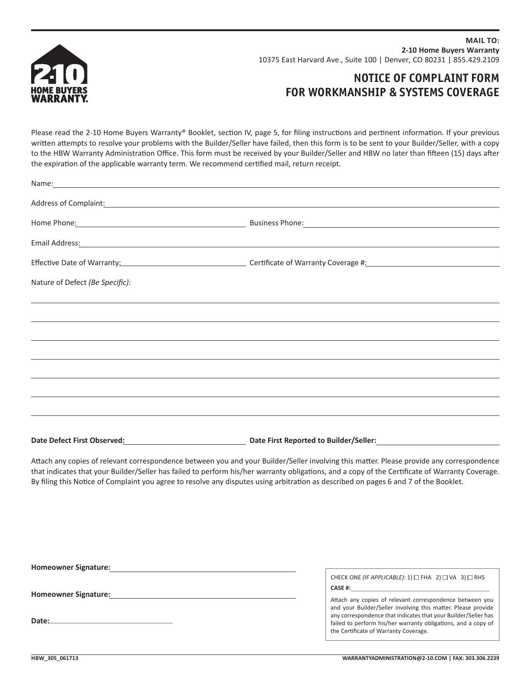**mail TO: 2-10 Home Buyers Warranty** 10375 East Harvard Ave., Suite 100 | Denver, CO 80231 | 855.429.2109



#### **NOTICE OF COMPLAINT FORM FOR WORKMANSHIP & SYSTEMS COVERAGE**

Please read the 2-10 Home Buyers Warranty® Booklet, section IV, page 5, for filing instructions and pertinent information. If your previous written attempts to resolve your problems with the Builder/Seller have failed, then this form is to be sent to your Builder/Seller, with a copy to the HBW Warranty Administration Office. This form must be received by your Builder/Seller and HBW no later than fifteen (15) days after the expiration of the applicable warranty term. We recommend certified mail, return receipt.

| Name: Name: Name: Name: Name: Name: Name: Name: Name: Name: Name: Name: Name: Name: Name: Name: Name: Name: Name: Name: Name: Name: Name: Name: Name: Name: Name: Name: Name: Name: Name: Name: Name: Name: Name: Name: Name: |                                                                                                                                                                                                                                     |
|-------------------------------------------------------------------------------------------------------------------------------------------------------------------------------------------------------------------------------|-------------------------------------------------------------------------------------------------------------------------------------------------------------------------------------------------------------------------------------|
|                                                                                                                                                                                                                               | Address of Complaint: 1999 Complaint: 2009 Complaint: 2009 Complaint: 2009 Complaint: 2009 Complaint: 2009 Complaint: 2009 Complaint: 2009 Complaint: 2009 Complaint: 2009 Complaint: 2009 Complaint: 2009 Complaint: 2009 Com      |
|                                                                                                                                                                                                                               | Home Phone: <u>National Accounts of Business Phone:</u> Business Phone: National Accounts of the Accounts of the Accounts of the Accounts of the Accounts of the Accounts of the Accounts of the Accounts of the Accounts of the Ac |
|                                                                                                                                                                                                                               | Email Address: No. 2014 19:30 19:30 19:30 19:30 19:30 19:30 19:30 19:30 19:30 19:30 19:30 19:30 19:30 19:30 19:30 19:30 19:30 19:30 19:30 19:30 19:30 19:30 19:30 19:30 19:30 19:30 19:30 19:30 19:30 19:30 19:30 19:30 19:30       |
|                                                                                                                                                                                                                               |                                                                                                                                                                                                                                     |
| Nature of Defect (Be Specific):                                                                                                                                                                                               |                                                                                                                                                                                                                                     |
|                                                                                                                                                                                                                               |                                                                                                                                                                                                                                     |
|                                                                                                                                                                                                                               | <u> 1989 - Johann Stoff, amerikansk politiker (* 1908)</u>                                                                                                                                                                          |
|                                                                                                                                                                                                                               |                                                                                                                                                                                                                                     |
|                                                                                                                                                                                                                               | ,我们也不能会在这里,我们也不能会在这里,我们也不能会在这里,我们也不能会在这里,我们也不能会在这里,我们也不能会在这里,我们也不能会不能会不能会。""我们,我们                                                                                                                                                   |
|                                                                                                                                                                                                                               |                                                                                                                                                                                                                                     |
|                                                                                                                                                                                                                               |                                                                                                                                                                                                                                     |
|                                                                                                                                                                                                                               | ,我们也不会有什么。""我们的人,我们也不会有什么?""我们的人,我们也不会有什么?""我们的人,我们也不会有什么?""我们的人,我们也不会有什么?""我们的人<br>,我们也不能会在这里,我们也不能会在这里,我们也不能会在这里,我们也不能会在这里,我们也不能会在这里,我们也不能会在这里,我们也不能会不能会不能会。""我们,我们                                                               |
|                                                                                                                                                                                                                               |                                                                                                                                                                                                                                     |
| <b>Date Defect First Observed:</b>                                                                                                                                                                                            | Date First Reported to Builder/Seller:                                                                                                                                                                                              |

Attach any copies of relevant correspondence between you and your Builder/Seller involving this matter. Please provide any correspondence that indicates that your Builder/Seller has failed to perform his/her warranty obligations, and a copy of the Certificate of Warranty Coverage. By filing this Notice of Complaint you agree to resolve any disputes using arbitration as described on pages 6 and 7 of the Booklet.

**Homeowner Signature:**

**Homeowner Signature:**

**Date:**

CHECK ONE *(IF APPLICABLE)*: 1)  $\Box$  FHA 2)  $\Box$  VA 3)  $\Box$  RHS **CASE #:**

Attach any copies of relevant correspondence between you and your Builder/Seller involving this matter. Please provide any correspondence that indicates that your Builder/Seller has failed to perform his/her warranty obligations, and a copy of the Certificate of Warranty Coverage.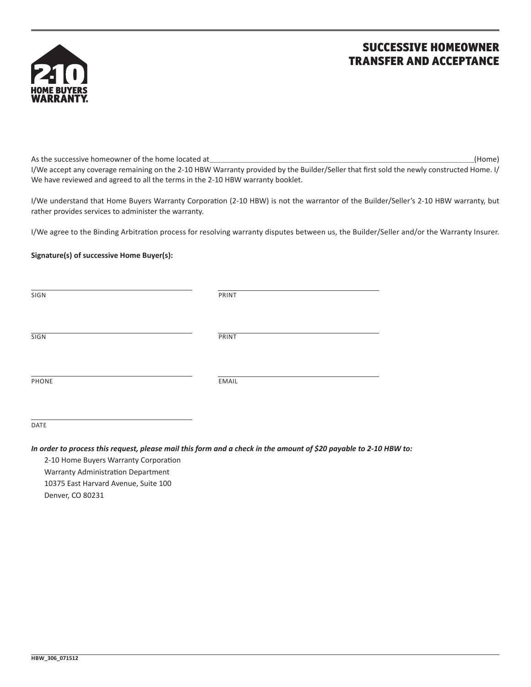## successive homeowner transfer and acceptance



As the successive homeowner of the home located at (Home) I/We accept any coverage remaining on the 2-10 HBW Warranty provided by the Builder/Seller that first sold the newly constructed Home. I/ We have reviewed and agreed to all the terms in the 2-10 HBW warranty booklet.

I/We understand that Home Buyers Warranty Corporation (2-10 HBW) is not the warrantor of the Builder/Seller's 2-10 HBW warranty, but rather provides services to administer the warranty.

I/We agree to the Binding Arbitration process for resolving warranty disputes between us, the Builder/Seller and/or the Warranty Insurer.

#### **Signature(s) of successive Home Buyer(s):**

| SIGN        | PRINT |
|-------------|-------|
| <b>SIGN</b> | PRINT |
| PHONE       | EMAIL |
| DATE        |       |

*In order to process this request, please mail this form and a check in the amount of \$20 payable to 2-10 HBW to:*

2-10 Home Buyers Warranty Corporation

Warranty Administration Department

10375 East Harvard Avenue, Suite 100

Denver, CO 80231